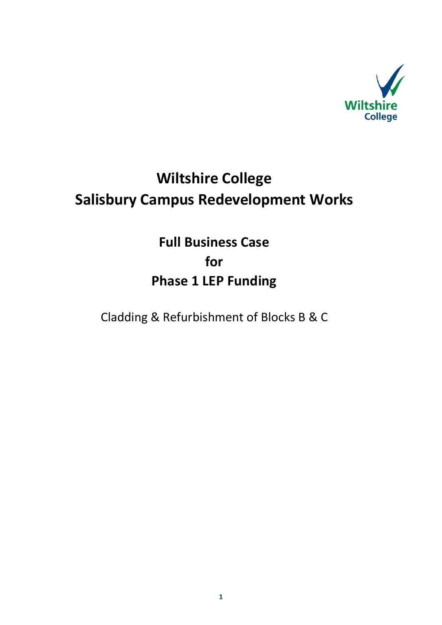

# **Wiltshire College Salisbury Campus Redevelopment Works**

**Full Business Case for Phase 1 LEP Funding** 

Cladding & Refurbishment of Blocks B & C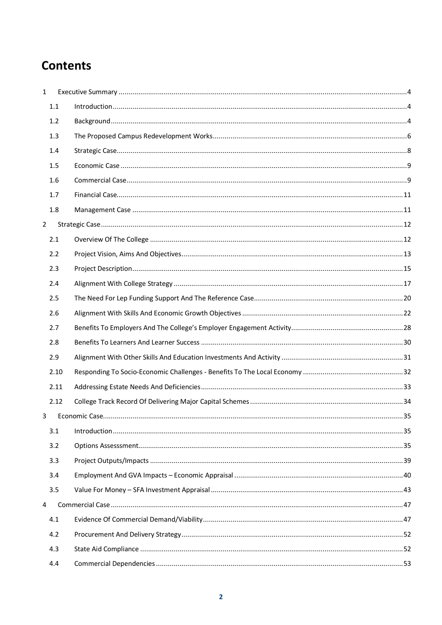## **Contents**

| $\mathbf{1}$   |      |  |
|----------------|------|--|
|                | 1.1  |  |
|                | 1.2  |  |
|                | 1.3  |  |
|                | 1.4  |  |
|                | 1.5  |  |
|                | 1.6  |  |
|                | 1.7  |  |
|                | 1.8  |  |
| $\overline{2}$ |      |  |
|                | 2.1  |  |
|                | 2.2  |  |
|                | 2.3  |  |
|                | 2.4  |  |
|                | 2.5  |  |
|                | 2.6  |  |
|                | 2.7  |  |
|                | 2.8  |  |
|                | 2.9  |  |
|                | 2.10 |  |
|                | 2.11 |  |
|                | 2.12 |  |
| 3              |      |  |
|                | 3.1  |  |
|                | 3.2  |  |
|                | 3.3  |  |
|                | 3.4  |  |
|                | 3.5  |  |
| 4              |      |  |
|                | 4.1  |  |
|                | 4.2  |  |
|                | 4.3  |  |
|                | 4.4  |  |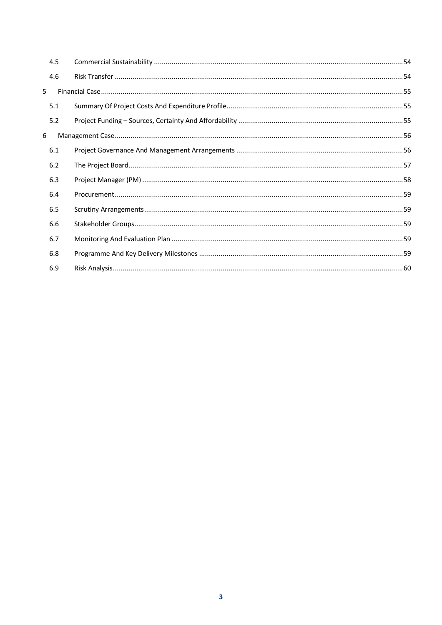| 4.5 |  |
|-----|--|
| 4.6 |  |
| 5   |  |
| 5.1 |  |
| 5.2 |  |
| 6   |  |
| 6.1 |  |
| 6.2 |  |
| 6.3 |  |
| 6.4 |  |
| 6.5 |  |
| 6.6 |  |
| 6.7 |  |
| 6.8 |  |
| 6.9 |  |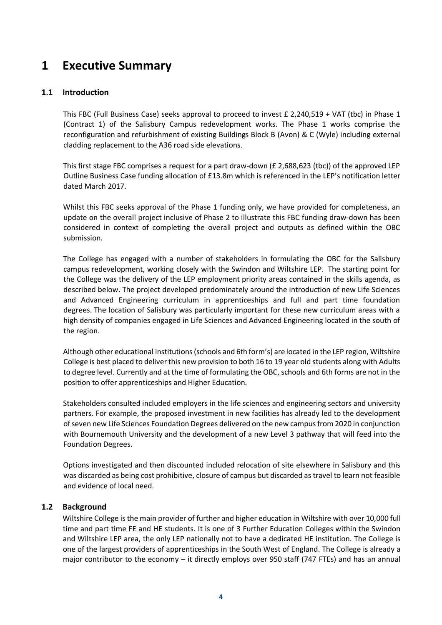## **1 Executive Summary**

## **1.1 Introduction**

This FBC (Full Business Case) seeks approval to proceed to invest £ 2,240,519 + VAT (tbc) in Phase 1 (Contract 1) of the Salisbury Campus redevelopment works. The Phase 1 works comprise the reconfiguration and refurbishment of existing Buildings Block B (Avon) & C (Wyle) including external cladding replacement to the A36 road side elevations.

This first stage FBC comprises a request for a part draw-down (£ 2,688,623 (tbc)) of the approved LEP Outline Business Case funding allocation of £13.8m which is referenced in the LEP's notification letter dated March 2017.

Whilst this FBC seeks approval of the Phase 1 funding only, we have provided for completeness, an update on the overall project inclusive of Phase 2 to illustrate this FBC funding draw-down has been considered in context of completing the overall project and outputs as defined within the OBC submission.

The College has engaged with a number of stakeholders in formulating the OBC for the Salisbury campus redevelopment, working closely with the Swindon and Wiltshire LEP. The starting point for the College was the delivery of the LEP employment priority areas contained in the skills agenda, as described below. The project developed predominately around the introduction of new Life Sciences and Advanced Engineering curriculum in apprenticeships and full and part time foundation degrees. The location of Salisbury was particularly important for these new curriculum areas with a high density of companies engaged in Life Sciences and Advanced Engineering located in the south of the region.

Although other educational institutions (schools and 6th form's) are located in the LEP region, Wiltshire College is best placed to deliver this new provision to both 16 to 19 year old students along with Adults to degree level. Currently and at the time of formulating the OBC, schools and 6th forms are not in the position to offer apprenticeships and Higher Education.

Stakeholders consulted included employers in the life sciences and engineering sectors and university partners. For example, the proposed investment in new facilities has already led to the development of seven new Life Sciences Foundation Degrees delivered on the new campus from 2020 in conjunction with Bournemouth University and the development of a new Level 3 pathway that will feed into the Foundation Degrees.

Options investigated and then discounted included relocation of site elsewhere in Salisbury and this was discarded as being cost prohibitive, closure of campus but discarded as travel to learn not feasible and evidence of local need.

## **1.2 Background**

Wiltshire College is the main provider of further and higher education in Wiltshire with over 10,000 full time and part time FE and HE students. It is one of 3 Further Education Colleges within the Swindon and Wiltshire LEP area, the only LEP nationally not to have a dedicated HE institution. The College is one of the largest providers of apprenticeships in the South West of England. The College is already a major contributor to the economy – it directly employs over 950 staff (747 FTEs) and has an annual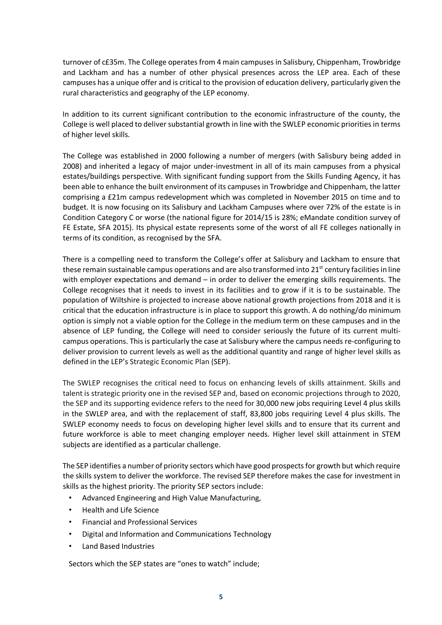turnover of c£35m. The College operates from 4 main campuses in Salisbury, Chippenham, Trowbridge and Lackham and has a number of other physical presences across the LEP area. Each of these campuses has a unique offer and is critical to the provision of education delivery, particularly given the rural characteristics and geography of the LEP economy.

In addition to its current significant contribution to the economic infrastructure of the county, the College is well placed to deliver substantial growth in line with the SWLEP economic priorities in terms of higher level skills.

The College was established in 2000 following a number of mergers (with Salisbury being added in 2008) and inherited a legacy of major under-investment in all of its main campuses from a physical estates/buildings perspective. With significant funding support from the Skills Funding Agency, it has been able to enhance the built environment of its campuses in Trowbridge and Chippenham, the latter comprising a £21m campus redevelopment which was completed in November 2015 on time and to budget. It is now focusing on its Salisbury and Lackham Campuses where over 72% of the estate is in Condition Category C or worse (the national figure for 2014/15 is 28%; eMandate condition survey of FE Estate, SFA 2015). Its physical estate represents some of the worst of all FE colleges nationally in terms of its condition, as recognised by the SFA.

There is a compelling need to transform the College's offer at Salisbury and Lackham to ensure that these remain sustainable campus operations and are also transformed into  $21<sup>st</sup>$  century facilities in line with employer expectations and demand – in order to deliver the emerging skills requirements. The College recognises that it needs to invest in its facilities and to grow if it is to be sustainable. The population of Wiltshire is projected to increase above national growth projections from 2018 and it is critical that the education infrastructure is in place to support this growth. A do nothing/do minimum option is simply not a viable option for the College in the medium term on these campuses and in the absence of LEP funding, the College will need to consider seriously the future of its current multicampus operations. This is particularly the case at Salisbury where the campus needs re-configuring to deliver provision to current levels as well as the additional quantity and range of higher level skills as defined in the LEP's Strategic Economic Plan (SEP).

The SWLEP recognises the critical need to focus on enhancing levels of skills attainment. Skills and talent is strategic priority one in the revised SEP and, based on economic projections through to 2020, the SEP and its supporting evidence refers to the need for 30,000 new jobs requiring Level 4 plus skills in the SWLEP area, and with the replacement of staff, 83,800 jobs requiring Level 4 plus skills. The SWLEP economy needs to focus on developing higher level skills and to ensure that its current and future workforce is able to meet changing employer needs. Higher level skill attainment in STEM subjects are identified as a particular challenge.

The SEP identifies a number of priority sectors which have good prospects for growth but which require the skills system to deliver the workforce. The revised SEP therefore makes the case for investment in skills as the highest priority. The priority SEP sectors include:

- Advanced Engineering and High Value Manufacturing,
- Health and Life Science
- Financial and Professional Services
- Digital and Information and Communications Technology
- Land Based Industries

Sectors which the SEP states are "ones to watch" include;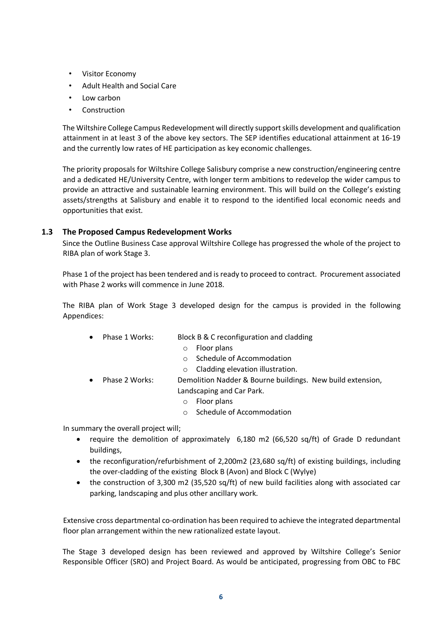- Visitor Economy
- Adult Health and Social Care
- Low carbon
- **Construction**

The Wiltshire College Campus Redevelopment will directly support skills development and qualification attainment in at least 3 of the above key sectors. The SEP identifies educational attainment at 16-19 and the currently low rates of HE participation as key economic challenges.

The priority proposals for Wiltshire College Salisbury comprise a new construction/engineering centre and a dedicated HE/University Centre, with longer term ambitions to redevelop the wider campus to provide an attractive and sustainable learning environment. This will build on the College's existing assets/strengths at Salisbury and enable it to respond to the identified local economic needs and opportunities that exist.

## **1.3 The Proposed Campus Redevelopment Works**

Since the Outline Business Case approval Wiltshire College has progressed the whole of the project to RIBA plan of work Stage 3.

Phase 1 of the project has been tendered and is ready to proceed to contract. Procurement associated with Phase 2 works will commence in June 2018.

The RIBA plan of Work Stage 3 developed design for the campus is provided in the following Appendices:

- Phase 1 Works: Block B & C reconfiguration and cladding
	- o Floor plans
	- o Schedule of Accommodation
	- o Cladding elevation illustration.
- Phase 2 Works: Demolition Nadder & Bourne buildings. New build extension, Landscaping and Car Park.
	- o Floor plans
	- o Schedule of Accommodation

In summary the overall project will;

- require the demolition of approximately 6,180 m2 (66,520 sq/ft) of Grade D redundant buildings,
- the reconfiguration/refurbishment of 2,200m2 (23,680 sq/ft) of existing buildings, including the over-cladding of the existing Block B (Avon) and Block C (Wylye)
- the construction of 3,300 m2 (35,520 sq/ft) of new build facilities along with associated car parking, landscaping and plus other ancillary work.

Extensive cross departmental co-ordination has been required to achieve the integrated departmental floor plan arrangement within the new rationalized estate layout.

The Stage 3 developed design has been reviewed and approved by Wiltshire College's Senior Responsible Officer (SRO) and Project Board. As would be anticipated, progressing from OBC to FBC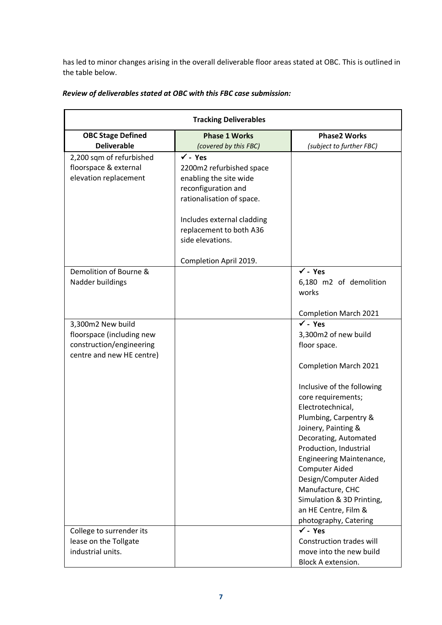has led to minor changes arising in the overall deliverable floor areas stated at OBC. This is outlined in the table below.

| <b>Tracking Deliverables</b> |                            |                                 |  |
|------------------------------|----------------------------|---------------------------------|--|
| <b>OBC Stage Defined</b>     | <b>Phase 1 Works</b>       | <b>Phase2 Works</b>             |  |
| <b>Deliverable</b>           | (covered by this FBC)      | (subject to further FBC)        |  |
| 2,200 sqm of refurbished     | $\checkmark$ - Yes         |                                 |  |
| floorspace & external        | 2200m2 refurbished space   |                                 |  |
| elevation replacement        | enabling the site wide     |                                 |  |
|                              | reconfiguration and        |                                 |  |
|                              | rationalisation of space.  |                                 |  |
|                              | Includes external cladding |                                 |  |
|                              | replacement to both A36    |                                 |  |
|                              | side elevations.           |                                 |  |
|                              | Completion April 2019.     |                                 |  |
| Demolition of Bourne &       |                            | $\checkmark$ - Yes              |  |
| Nadder buildings             |                            | 6,180 m2 of demolition<br>works |  |
|                              |                            | <b>Completion March 2021</b>    |  |
| 3,300m2 New build            |                            | $\checkmark$ - Yes              |  |
| floorspace (including new    |                            | 3,300m2 of new build            |  |
| construction/engineering     |                            | floor space.                    |  |
| centre and new HE centre)    |                            |                                 |  |
|                              |                            | <b>Completion March 2021</b>    |  |
|                              |                            | Inclusive of the following      |  |
|                              |                            | core requirements;              |  |
|                              |                            | Electrotechnical,               |  |
|                              |                            | Plumbing, Carpentry &           |  |
|                              |                            | Joinery, Painting &             |  |
|                              |                            | Decorating, Automated           |  |
|                              |                            | Production, Industrial          |  |
|                              |                            | Engineering Maintenance,        |  |
|                              |                            | <b>Computer Aided</b>           |  |
|                              |                            | Design/Computer Aided           |  |
|                              |                            | Manufacture, CHC                |  |
|                              |                            | Simulation & 3D Printing,       |  |
|                              |                            | an HE Centre, Film &            |  |
|                              |                            | photography, Catering           |  |
| College to surrender its     |                            | $\checkmark$ - Yes              |  |
| lease on the Tollgate        |                            | Construction trades will        |  |
| industrial units.            |                            | move into the new build         |  |
|                              |                            | Block A extension.              |  |

## *Review of deliverables stated at OBC with this FBC case submission:*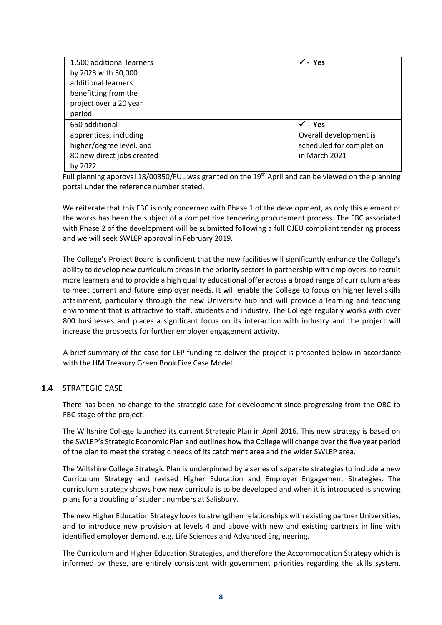| 1,500 additional learners  | $\checkmark$ - Yes       |
|----------------------------|--------------------------|
| by 2023 with 30,000        |                          |
| additional learners        |                          |
| benefitting from the       |                          |
| project over a 20 year     |                          |
| period.                    |                          |
| 650 additional             | $\checkmark$ - Yes       |
| apprentices, including     | Overall development is   |
| higher/degree level, and   | scheduled for completion |
| 80 new direct jobs created | in March 2021            |
| by 2022                    |                          |

Full planning approval 18/00350/FUL was granted on the 19<sup>th</sup> April and can be viewed on the planning portal under the reference number stated.

We reiterate that this FBC is only concerned with Phase 1 of the development, as only this element of the works has been the subject of a competitive tendering procurement process. The FBC associated with Phase 2 of the development will be submitted following a full OJEU compliant tendering process and we will seek SWLEP approval in February 2019.

The College's Project Board is confident that the new facilities will significantly enhance the College's ability to develop new curriculum areas in the priority sectors in partnership with employers, to recruit more learners and to provide a high quality educational offer across a broad range of curriculum areas to meet current and future employer needs. It will enable the College to focus on higher level skills attainment, particularly through the new University hub and will provide a learning and teaching environment that is attractive to staff, students and industry. The College regularly works with over 800 businesses and places a significant focus on its interaction with industry and the project will increase the prospects for further employer engagement activity.

A brief summary of the case for LEP funding to deliver the project is presented below in accordance with the HM Treasury Green Book Five Case Model.

## **1.4** STRATEGIC CASE

There has been no change to the strategic case for development since progressing from the OBC to FBC stage of the project.

The Wiltshire College launched its current Strategic Plan in April 2016. This new strategy is based on the SWLEP's Strategic Economic Plan and outlines how the College will change over the five year period of the plan to meet the strategic needs of its catchment area and the wider SWLEP area.

The Wiltshire College Strategic Plan is underpinned by a series of separate strategies to include a new Curriculum Strategy and revised Higher Education and Employer Engagement Strategies. The curriculum strategy shows how new curricula is to be developed and when it is introduced is showing plans for a doubling of student numbers at Salisbury.

The new Higher Education Strategy looks to strengthen relationships with existing partner Universities, and to introduce new provision at levels 4 and above with new and existing partners in line with identified employer demand, e.g. Life Sciences and Advanced Engineering.

The Curriculum and Higher Education Strategies, and therefore the Accommodation Strategy which is informed by these, are entirely consistent with government priorities regarding the skills system.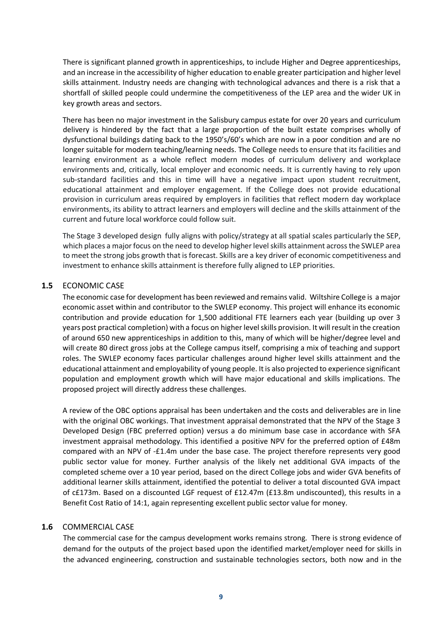There is significant planned growth in apprenticeships, to include Higher and Degree apprenticeships, and an increase in the accessibility of higher education to enable greater participation and higher level skills attainment. Industry needs are changing with technological advances and there is a risk that a shortfall of skilled people could undermine the competitiveness of the LEP area and the wider UK in key growth areas and sectors.

There has been no major investment in the Salisbury campus estate for over 20 years and curriculum delivery is hindered by the fact that a large proportion of the built estate comprises wholly of dysfunctional buildings dating back to the 1950's/60's which are now in a poor condition and are no longer suitable for modern teaching/learning needs. The College needs to ensure that its facilities and learning environment as a whole reflect modern modes of curriculum delivery and workplace environments and, critically, local employer and economic needs. It is currently having to rely upon sub-standard facilities and this in time will have a negative impact upon student recruitment, educational attainment and employer engagement. If the College does not provide educational provision in curriculum areas required by employers in facilities that reflect modern day workplace environments, its ability to attract learners and employers will decline and the skills attainment of the current and future local workforce could follow suit.

The Stage 3 developed design fully aligns with policy/strategy at all spatial scales particularly the SEP, which places a major focus on the need to develop higher level skills attainment across the SWLEP area to meet the strong jobs growth that is forecast. Skills are a key driver of economic competitiveness and investment to enhance skills attainment is therefore fully aligned to LEP priorities.

## **1.5** ECONOMIC CASE

The economic case for development has been reviewed and remains valid. Wiltshire College is a major economic asset within and contributor to the SWLEP economy. This project will enhance its economic contribution and provide education for 1,500 additional FTE learners each year (building up over 3 years post practical completion) with a focus on higher level skills provision. It will result in the creation of around 650 new apprenticeships in addition to this, many of which will be higher/degree level and will create 80 direct gross jobs at the College campus itself, comprising a mix of teaching and support roles. The SWLEP economy faces particular challenges around higher level skills attainment and the educational attainment and employability of young people. It is also projected to experience significant population and employment growth which will have major educational and skills implications. The proposed project will directly address these challenges.

A review of the OBC options appraisal has been undertaken and the costs and deliverables are in line with the original OBC workings. That investment appraisal demonstrated that the NPV of the Stage 3 Developed Design (FBC preferred option) versus a do minimum base case in accordance with SFA investment appraisal methodology. This identified a positive NPV for the preferred option of £48m compared with an NPV of -£1.4m under the base case. The project therefore represents very good public sector value for money. Further analysis of the likely net additional GVA impacts of the completed scheme over a 10 year period, based on the direct College jobs and wider GVA benefits of additional learner skills attainment, identified the potential to deliver a total discounted GVA impact of c£173m. Based on a discounted LGF request of £12.47m (£13.8m undiscounted), this results in a Benefit Cost Ratio of 14:1, again representing excellent public sector value for money.

## **1.6** COMMERCIAL CASE

The commercial case for the campus development works remains strong. There is strong evidence of demand for the outputs of the project based upon the identified market/employer need for skills in the advanced engineering, construction and sustainable technologies sectors, both now and in the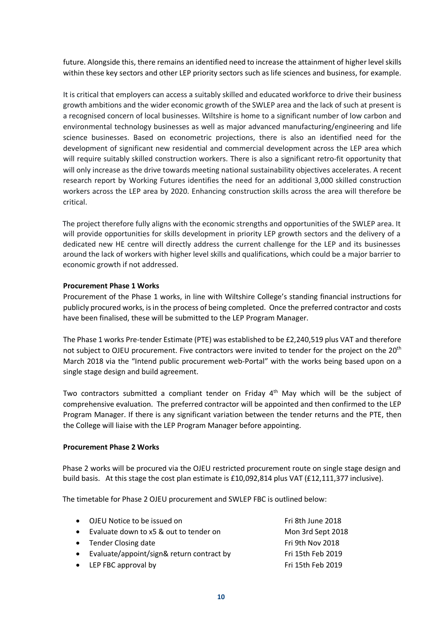future. Alongside this, there remains an identified need to increase the attainment of higher level skills within these key sectors and other LEP priority sectors such as life sciences and business, for example.

It is critical that employers can access a suitably skilled and educated workforce to drive their business growth ambitions and the wider economic growth of the SWLEP area and the lack of such at present is a recognised concern of local businesses. Wiltshire is home to a significant number of low carbon and environmental technology businesses as well as major advanced manufacturing/engineering and life science businesses. Based on econometric projections, there is also an identified need for the development of significant new residential and commercial development across the LEP area which will require suitably skilled construction workers. There is also a significant retro-fit opportunity that will only increase as the drive towards meeting national sustainability objectives accelerates. A recent research report by Working Futures identifies the need for an additional 3,000 skilled construction workers across the LEP area by 2020. Enhancing construction skills across the area will therefore be critical.

The project therefore fully aligns with the economic strengths and opportunities of the SWLEP area. It will provide opportunities for skills development in priority LEP growth sectors and the delivery of a dedicated new HE centre will directly address the current challenge for the LEP and its businesses around the lack of workers with higher level skills and qualifications, which could be a major barrier to economic growth if not addressed.

## **Procurement Phase 1 Works**

Procurement of the Phase 1 works, in line with Wiltshire College's standing financial instructions for publicly procured works, isin the process of being completed. Once the preferred contractor and costs have been finalised, these will be submitted to the LEP Program Manager.

The Phase 1 works Pre-tender Estimate (PTE) was established to be £2,240,519 plus VAT and therefore not subject to OJEU procurement. Five contractors were invited to tender for the project on the 20<sup>th</sup> March 2018 via the "Intend public procurement web-Portal" with the works being based upon on a single stage design and build agreement.

Two contractors submitted a compliant tender on Friday 4<sup>th</sup> May which will be the subject of comprehensive evaluation. The preferred contractor will be appointed and then confirmed to the LEP Program Manager. If there is any significant variation between the tender returns and the PTE, then the College will liaise with the LEP Program Manager before appointing.

#### **Procurement Phase 2 Works**

Phase 2 works will be procured via the OJEU restricted procurement route on single stage design and build basis. At this stage the cost plan estimate is £10,092,814 plus VAT (£12,111,377 inclusive).

The timetable for Phase 2 OJEU procurement and SWLEP FBC is outlined below:

| $\bullet$ | OJEU Notice to be issued on               | Fri 8th June 2018 |
|-----------|-------------------------------------------|-------------------|
| $\bullet$ | Evaluate down to x5 & out to tender on    | Mon 3rd Sept 2018 |
|           | • Tender Closing date                     | Fri 9th Nov 2018  |
| $\bullet$ | Evaluate/appoint/sign& return contract by | Fri 15th Feb 2019 |
|           | • LEP FBC approval by                     | Fri 15th Feb 2019 |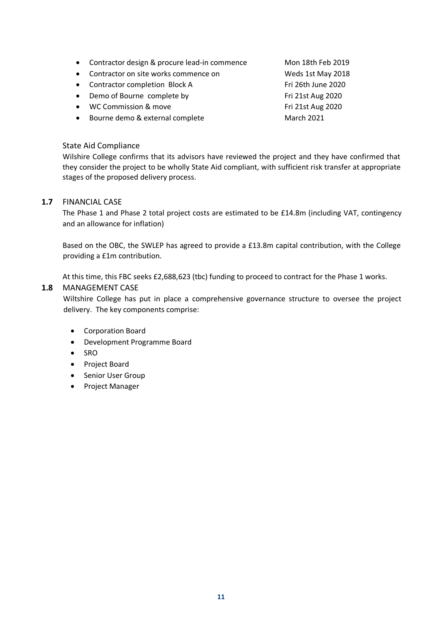- Contractor design & procure lead-in commence Mon 18th Feb 2019
- Contractor on site works commence on Weds 1st May 2018
- Contractor completion Block A Fri 26th June 2020
- Demo of Bourne complete by Fri 21st Aug 2020
- WC Commission & move Fri 21st Aug 2020
- Bourne demo & external complete March 2021

### State Aid Compliance

Wilshire College confirms that its advisors have reviewed the project and they have confirmed that they consider the project to be wholly State Aid compliant, with sufficient risk transfer at appropriate stages of the proposed delivery process.

#### **1.7** FINANCIAL CASE

The Phase 1 and Phase 2 total project costs are estimated to be £14.8m (including VAT, contingency and an allowance for inflation)

Based on the OBC, the SWLEP has agreed to provide a £13.8m capital contribution, with the College providing a £1m contribution.

At this time, this FBC seeks £2,688,623 (tbc) funding to proceed to contract for the Phase 1 works.

#### **1.8** MANAGEMENT CASE

Wiltshire College has put in place a comprehensive governance structure to oversee the project delivery. The key components comprise:

- Corporation Board
- Development Programme Board
- SRO
- Project Board
- Senior User Group
- Project Manager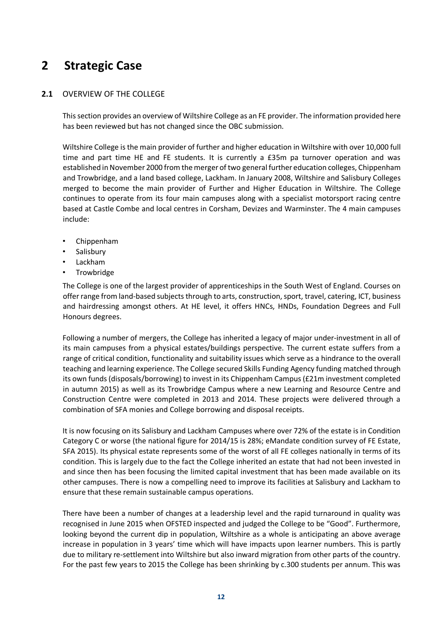## **2 Strategic Case**

## **2.1** OVERVIEW OF THE COLLEGE

This section provides an overview of Wiltshire College as an FE provider. The information provided here has been reviewed but has not changed since the OBC submission.

Wiltshire College is the main provider of further and higher education in Wiltshire with over 10,000 full time and part time HE and FE students. It is currently a £35m pa turnover operation and was established in November 2000 from the merger of two general further education colleges, Chippenham and Trowbridge, and a land based college, Lackham. In January 2008, Wiltshire and Salisbury Colleges merged to become the main provider of Further and Higher Education in Wiltshire. The College continues to operate from its four main campuses along with a specialist motorsport racing centre based at Castle Combe and local centres in Corsham, Devizes and Warminster. The 4 main campuses include:

- Chippenham
- Salisbury
- Lackham
- **Trowbridge**

The College is one of the largest provider of apprenticeships in the South West of England. Courses on offer range from land-based subjects through to arts, construction, sport, travel, catering, ICT, business and hairdressing amongst others. At HE level, it offers HNCs, HNDs, Foundation Degrees and Full Honours degrees.

Following a number of mergers, the College has inherited a legacy of major under-investment in all of its main campuses from a physical estates/buildings perspective. The current estate suffers from a range of critical condition, functionality and suitability issues which serve as a hindrance to the overall teaching and learning experience. The College secured Skills Funding Agency funding matched through its own funds (disposals/borrowing) to invest in its Chippenham Campus (£21m investment completed in autumn 2015) as well as its Trowbridge Campus where a new Learning and Resource Centre and Construction Centre were completed in 2013 and 2014. These projects were delivered through a combination of SFA monies and College borrowing and disposal receipts.

It is now focusing on its Salisbury and Lackham Campuses where over 72% of the estate is in Condition Category C or worse (the national figure for 2014/15 is 28%; eMandate condition survey of FE Estate, SFA 2015). Its physical estate represents some of the worst of all FE colleges nationally in terms of its condition. This is largely due to the fact the College inherited an estate that had not been invested in and since then has been focusing the limited capital investment that has been made available on its other campuses. There is now a compelling need to improve its facilities at Salisbury and Lackham to ensure that these remain sustainable campus operations.

There have been a number of changes at a leadership level and the rapid turnaround in quality was recognised in June 2015 when OFSTED inspected and judged the College to be "Good". Furthermore, looking beyond the current dip in population, Wiltshire as a whole is anticipating an above average increase in population in 3 years' time which will have impacts upon learner numbers. This is partly due to military re-settlement into Wiltshire but also inward migration from other parts of the country. For the past few years to 2015 the College has been shrinking by c.300 students per annum. This was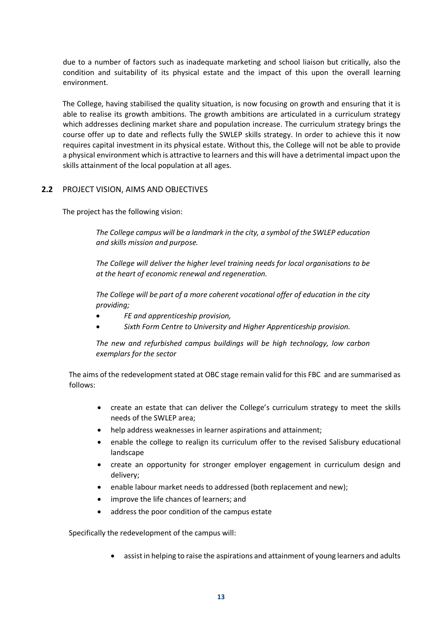due to a number of factors such as inadequate marketing and school liaison but critically, also the condition and suitability of its physical estate and the impact of this upon the overall learning environment.

The College, having stabilised the quality situation, is now focusing on growth and ensuring that it is able to realise its growth ambitions. The growth ambitions are articulated in a curriculum strategy which addresses declining market share and population increase. The curriculum strategy brings the course offer up to date and reflects fully the SWLEP skills strategy. In order to achieve this it now requires capital investment in its physical estate. Without this, the College will not be able to provide a physical environment which is attractive to learners and this will have a detrimental impact upon the skills attainment of the local population at all ages.

## **2.2** PROJECT VISION, AIMS AND OBJECTIVES

The project has the following vision:

*The College campus will be a landmark in the city, a symbol of the SWLEP education and skills mission and purpose.* 

*The College will deliver the higher level training needs for local organisations to be at the heart of economic renewal and regeneration.* 

*The College will be part of a more coherent vocational offer of education in the city providing;* 

- *FE and apprenticeship provision,*
- *Sixth Form Centre to University and Higher Apprenticeship provision.*

*The new and refurbished campus buildings will be high technology, low carbon exemplars for the sector*

The aims of the redevelopment stated at OBC stage remain valid for this FBC and are summarised as follows:

- create an estate that can deliver the College's curriculum strategy to meet the skills needs of the SWLEP area;
- help address weaknesses in learner aspirations and attainment;
- enable the college to realign its curriculum offer to the revised Salisbury educational landscape
- create an opportunity for stronger employer engagement in curriculum design and delivery;
- enable labour market needs to addressed (both replacement and new);
- improve the life chances of learners; and
- address the poor condition of the campus estate

Specifically the redevelopment of the campus will:

• assist in helping to raise the aspirations and attainment of young learners and adults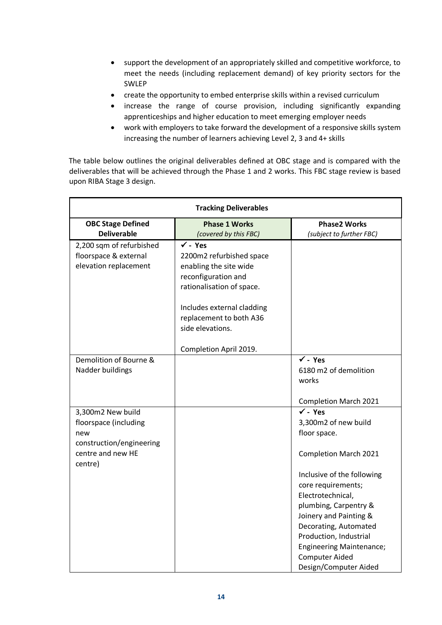- support the development of an appropriately skilled and competitive workforce, to meet the needs (including replacement demand) of key priority sectors for the SWLEP
- create the opportunity to embed enterprise skills within a revised curriculum
- increase the range of course provision, including significantly expanding apprenticeships and higher education to meet emerging employer needs
- work with employers to take forward the development of a responsive skills system increasing the number of learners achieving Level 2, 3 and 4+ skills

The table below outlines the original deliverables defined at OBC stage and is compared with the deliverables that will be achieved through the Phase 1 and 2 works. This FBC stage review is based upon RIBA Stage 3 design.

| <b>Tracking Deliverables</b>                                                                                  |                                                                                                                                                                                                                                     |                                                                                                                                                                                                                                                                                                                                                                |  |  |
|---------------------------------------------------------------------------------------------------------------|-------------------------------------------------------------------------------------------------------------------------------------------------------------------------------------------------------------------------------------|----------------------------------------------------------------------------------------------------------------------------------------------------------------------------------------------------------------------------------------------------------------------------------------------------------------------------------------------------------------|--|--|
| <b>OBC Stage Defined</b>                                                                                      | <b>Phase 1 Works</b>                                                                                                                                                                                                                | <b>Phase2 Works</b>                                                                                                                                                                                                                                                                                                                                            |  |  |
| <b>Deliverable</b>                                                                                            | (covered by this FBC)                                                                                                                                                                                                               | (subject to further FBC)                                                                                                                                                                                                                                                                                                                                       |  |  |
| 2,200 sqm of refurbished<br>floorspace & external<br>elevation replacement                                    | $\checkmark$ - Yes<br>2200m2 refurbished space<br>enabling the site wide<br>reconfiguration and<br>rationalisation of space.<br>Includes external cladding<br>replacement to both A36<br>side elevations.<br>Completion April 2019. |                                                                                                                                                                                                                                                                                                                                                                |  |  |
| Demolition of Bourne &<br>Nadder buildings                                                                    |                                                                                                                                                                                                                                     | $\checkmark$ - Yes<br>6180 m2 of demolition<br>works<br><b>Completion March 2021</b>                                                                                                                                                                                                                                                                           |  |  |
| 3,300m2 New build<br>floorspace (including<br>new<br>construction/engineering<br>centre and new HE<br>centre) |                                                                                                                                                                                                                                     | $\checkmark$ - Yes<br>3,300m2 of new build<br>floor space.<br><b>Completion March 2021</b><br>Inclusive of the following<br>core requirements;<br>Electrotechnical,<br>plumbing, Carpentry &<br>Joinery and Painting &<br>Decorating, Automated<br>Production, Industrial<br><b>Engineering Maintenance;</b><br><b>Computer Aided</b><br>Design/Computer Aided |  |  |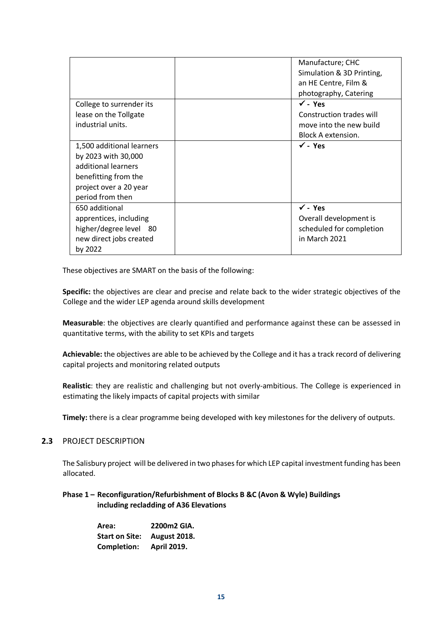|                           | Manufacture; CHC          |
|---------------------------|---------------------------|
|                           | Simulation & 3D Printing, |
|                           | an HE Centre, Film &      |
|                           | photography, Catering     |
| College to surrender its  | $\checkmark$ - Yes        |
| lease on the Tollgate     | Construction trades will  |
| industrial units.         | move into the new build   |
|                           | Block A extension.        |
| 1,500 additional learners | $\checkmark$ - Yes        |
| by 2023 with 30,000       |                           |
| additional learners       |                           |
| benefitting from the      |                           |
| project over a 20 year    |                           |
| period from then          |                           |
| 650 additional            | $\checkmark$ - Yes        |
| apprentices, including    | Overall development is    |
| higher/degree level 80    | scheduled for completion  |
| new direct jobs created   | in March 2021             |
| by 2022                   |                           |

These objectives are SMART on the basis of the following:

**Specific:** the objectives are clear and precise and relate back to the wider strategic objectives of the College and the wider LEP agenda around skills development

**Measurable**: the objectives are clearly quantified and performance against these can be assessed in quantitative terms, with the ability to set KPIs and targets

**Achievable:** the objectives are able to be achieved by the College and it has a track record of delivering capital projects and monitoring related outputs

**Realistic**: they are realistic and challenging but not overly-ambitious. The College is experienced in estimating the likely impacts of capital projects with similar

**Timely:** there is a clear programme being developed with key milestones for the delivery of outputs.

## **2.3** PROJECT DESCRIPTION

The Salisbury project will be delivered in two phases for which LEP capital investment funding has been allocated.

## **Phase 1 – Reconfiguration/Refurbishment of Blocks B &C (Avon & Wyle) Buildings including recladding of A36 Elevations**

**Area: 2200m2 GIA. Start on Site: August 2018. Completion: April 2019.**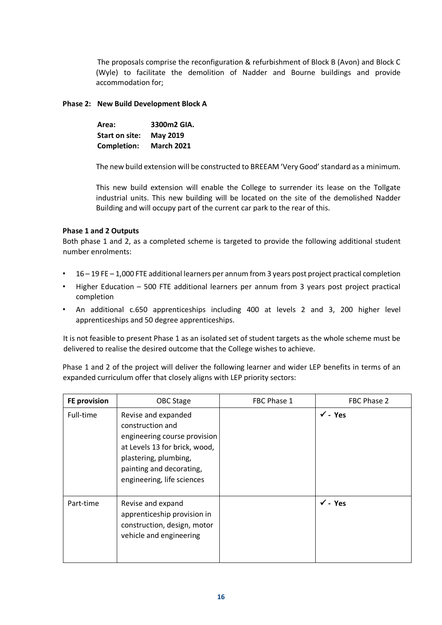The proposals comprise the reconfiguration & refurbishment of Block B (Avon) and Block C (Wyle) to facilitate the demolition of Nadder and Bourne buildings and provide accommodation for;

## **Phase 2: New Build Development Block A**

| Area:              | 3300m2 GIA.       |
|--------------------|-------------------|
| Start on site:     | May 2019          |
| <b>Completion:</b> | <b>March 2021</b> |

The new build extension will be constructed to BREEAM 'Very Good' standard as a minimum.

This new build extension will enable the College to surrender its lease on the Tollgate industrial units. This new building will be located on the site of the demolished Nadder Building and will occupy part of the current car park to the rear of this.

## **Phase 1 and 2 Outputs**

Both phase 1 and 2, as a completed scheme is targeted to provide the following additional student number enrolments:

- 16 19 FE 1,000 FTE additional learners per annum from 3 years post project practical completion
- Higher Education 500 FTE additional learners per annum from 3 years post project practical completion
- An additional c.650 apprenticeships including 400 at levels 2 and 3, 200 higher level apprenticeships and 50 degree apprenticeships.

It is not feasible to present Phase 1 as an isolated set of student targets as the whole scheme must be delivered to realise the desired outcome that the College wishes to achieve.

Phase 1 and 2 of the project will deliver the following learner and wider LEP benefits in terms of an expanded curriculum offer that closely aligns with LEP priority sectors:

| <b>FE provision</b> | OBC Stage                                                                                                                                                                                   | FBC Phase 1 | FBC Phase 2        |
|---------------------|---------------------------------------------------------------------------------------------------------------------------------------------------------------------------------------------|-------------|--------------------|
| Full-time           | Revise and expanded<br>construction and<br>engineering course provision<br>at Levels 13 for brick, wood,<br>plastering, plumbing,<br>painting and decorating,<br>engineering, life sciences |             | $\sqrt{-1}$ Yes    |
| Part-time           | Revise and expand<br>apprenticeship provision in<br>construction, design, motor<br>vehicle and engineering                                                                                  |             | $\checkmark$ - Yes |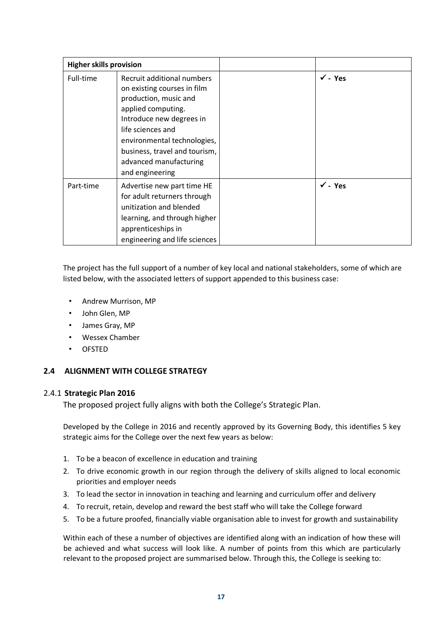| <b>Higher skills provision</b> |                                                                                                                                                                                                                                                                        |                    |
|--------------------------------|------------------------------------------------------------------------------------------------------------------------------------------------------------------------------------------------------------------------------------------------------------------------|--------------------|
| Full-time                      | Recruit additional numbers<br>on existing courses in film<br>production, music and<br>applied computing.<br>Introduce new degrees in<br>life sciences and<br>environmental technologies,<br>business, travel and tourism,<br>advanced manufacturing<br>and engineering | $\checkmark$ - Yes |
| Part-time                      | Advertise new part time HE<br>for adult returners through<br>unitization and blended<br>learning, and through higher<br>apprenticeships in<br>engineering and life sciences                                                                                            | $\sqrt{-1}$ Yes    |

The project has the full support of a number of key local and national stakeholders, some of which are listed below, with the associated letters of support appended to this business case:

- Andrew Murrison, MP
- John Glen, MP
- James Gray, MP
- Wessex Chamber
- OFSTED

## **2.4 ALIGNMENT WITH COLLEGE STRATEGY**

## 2.4.1 **Strategic Plan 2016**

The proposed project fully aligns with both the College's Strategic Plan.

Developed by the College in 2016 and recently approved by its Governing Body, this identifies 5 key strategic aims for the College over the next few years as below:

- 1. To be a beacon of excellence in education and training
- 2. To drive economic growth in our region through the delivery of skills aligned to local economic priorities and employer needs
- 3. To lead the sector in innovation in teaching and learning and curriculum offer and delivery
- 4. To recruit, retain, develop and reward the best staff who will take the College forward
- 5. To be a future proofed, financially viable organisation able to invest for growth and sustainability

Within each of these a number of objectives are identified along with an indication of how these will be achieved and what success will look like. A number of points from this which are particularly relevant to the proposed project are summarised below. Through this, the College is seeking to: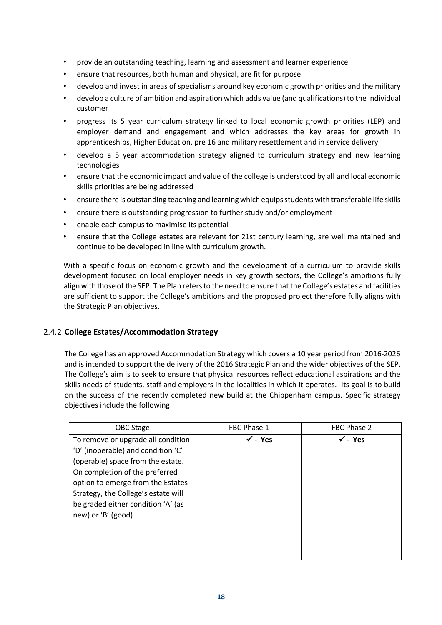- provide an outstanding teaching, learning and assessment and learner experience
- ensure that resources, both human and physical, are fit for purpose
- develop and invest in areas of specialisms around key economic growth priorities and the military
- develop a culture of ambition and aspiration which adds value (and qualifications) to the individual customer
- progress its 5 year curriculum strategy linked to local economic growth priorities (LEP) and employer demand and engagement and which addresses the key areas for growth in apprenticeships, Higher Education, pre 16 and military resettlement and in service delivery
- develop a 5 year accommodation strategy aligned to curriculum strategy and new learning technologies
- ensure that the economic impact and value of the college is understood by all and local economic skills priorities are being addressed
- ensure there is outstanding teaching and learning which equips students with transferable life skills
- ensure there is outstanding progression to further study and/or employment
- enable each campus to maximise its potential
- ensure that the College estates are relevant for 21st century learning, are well maintained and continue to be developed in line with curriculum growth.

With a specific focus on economic growth and the development of a curriculum to provide skills development focused on local employer needs in key growth sectors, the College's ambitions fully align with those of the SEP. The Plan refers to the need to ensure that the College's estates and facilities are sufficient to support the College's ambitions and the proposed project therefore fully aligns with the Strategic Plan objectives.

## 2.4.2 **College Estates/Accommodation Strategy**

The College has an approved Accommodation Strategy which covers a 10 year period from 2016-2026 and is intended to support the delivery of the 2016 Strategic Plan and the wider objectives of the SEP. The College's aim is to seek to ensure that physical resources reflect educational aspirations and the skills needs of students, staff and employers in the localities in which it operates. Its goal is to build on the success of the recently completed new build at the Chippenham campus. Specific strategy objectives include the following:

| OBC Stage                                                                                                                                                                                                                                                                               | FBC Phase 1        | FBC Phase 2        |
|-----------------------------------------------------------------------------------------------------------------------------------------------------------------------------------------------------------------------------------------------------------------------------------------|--------------------|--------------------|
| To remove or upgrade all condition<br>'D' (inoperable) and condition 'C'<br>(operable) space from the estate.<br>On completion of the preferred<br>option to emerge from the Estates<br>Strategy, the College's estate will<br>be graded either condition 'A' (as<br>new) or 'B' (good) | $\checkmark$ - Yes | $\checkmark$ - Yes |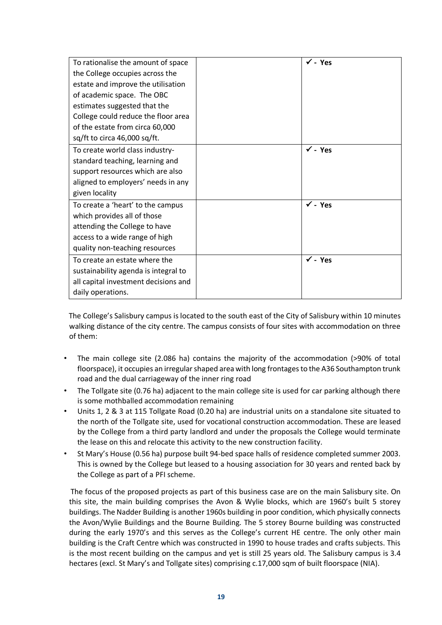| To rationalise the amount of space   | $\sqrt{2}$ - Yes   |
|--------------------------------------|--------------------|
| the College occupies across the      |                    |
| estate and improve the utilisation   |                    |
| of academic space. The OBC           |                    |
| estimates suggested that the         |                    |
| College could reduce the floor area  |                    |
| of the estate from circa 60,000      |                    |
| sq/ft to circa 46,000 sq/ft.         |                    |
| To create world class industry-      | $\sqrt{2}$ - Yes   |
| standard teaching, learning and      |                    |
| support resources which are also     |                    |
| aligned to employers' needs in any   |                    |
| given locality                       |                    |
| To create a 'heart' to the campus    | $\checkmark$ - Yes |
| which provides all of those          |                    |
| attending the College to have        |                    |
| access to a wide range of high       |                    |
| quality non-teaching resources       |                    |
| To create an estate where the        | $\sqrt{2}$ - Yes   |
| sustainability agenda is integral to |                    |
| all capital investment decisions and |                    |
| daily operations.                    |                    |

The College's Salisbury campus is located to the south east of the City of Salisbury within 10 minutes walking distance of the city centre. The campus consists of four sites with accommodation on three of them:

- The main college site (2.086 ha) contains the majority of the accommodation (>90% of total floorspace), it occupies an irregular shaped area with long frontages to the A36 Southampton trunk road and the dual carriageway of the inner ring road
- The Tollgate site (0.76 ha) adjacent to the main college site is used for car parking although there is some mothballed accommodation remaining
- Units 1, 2 & 3 at 115 Tollgate Road (0.20 ha) are industrial units on a standalone site situated to the north of the Tollgate site, used for vocational construction accommodation. These are leased by the College from a third party landlord and under the proposals the College would terminate the lease on this and relocate this activity to the new construction facility.
- St Mary's House (0.56 ha) purpose built 94-bed space halls of residence completed summer 2003. This is owned by the College but leased to a housing association for 30 years and rented back by the College as part of a PFI scheme.

The focus of the proposed projects as part of this business case are on the main Salisbury site. On this site, the main building comprises the Avon & Wylie blocks, which are 1960's built 5 storey buildings. The Nadder Building is another 1960s building in poor condition, which physically connects the Avon/Wylie Buildings and the Bourne Building. The 5 storey Bourne building was constructed during the early 1970's and this serves as the College's current HE centre. The only other main building is the Craft Centre which was constructed in 1990 to house trades and crafts subjects. This is the most recent building on the campus and yet is still 25 years old. The Salisbury campus is 3.4 hectares (excl. St Mary's and Tollgate sites) comprising c.17,000 sqm of built floorspace (NIA).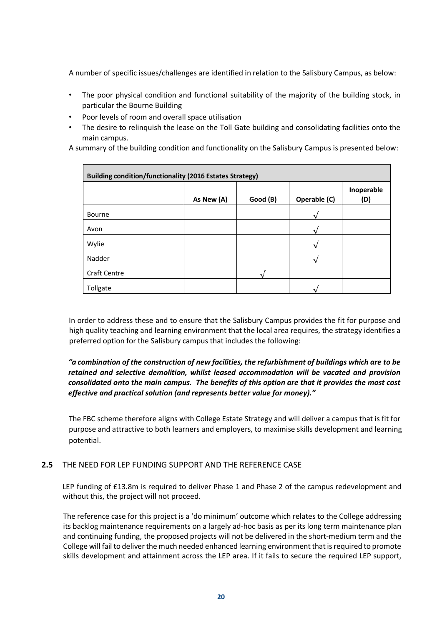A number of specific issues/challenges are identified in relation to the Salisbury Campus, as below:

- The poor physical condition and functional suitability of the majority of the building stock, in particular the Bourne Building
- Poor levels of room and overall space utilisation
- The desire to relinquish the lease on the Toll Gate building and consolidating facilities onto the main campus.

A summary of the building condition and functionality on the Salisbury Campus is presented below:

| <b>Building condition/functionality (2016 Estates Strategy)</b> |            |          |              |                   |  |
|-----------------------------------------------------------------|------------|----------|--------------|-------------------|--|
|                                                                 | As New (A) | Good (B) | Operable (C) | Inoperable<br>(D) |  |
| Bourne                                                          |            |          |              |                   |  |
| Avon                                                            |            |          |              |                   |  |
| Wylie                                                           |            |          |              |                   |  |
| Nadder                                                          |            |          |              |                   |  |
| <b>Craft Centre</b>                                             |            |          |              |                   |  |
| Tollgate                                                        |            |          |              |                   |  |

In order to address these and to ensure that the Salisbury Campus provides the fit for purpose and high quality teaching and learning environment that the local area requires, the strategy identifies a preferred option for the Salisbury campus that includes the following:

## *"a combination of the construction of new facilities, the refurbishment of buildings which are to be retained and selective demolition, whilst leased accommodation will be vacated and provision consolidated onto the main campus. The benefits of this option are that it provides the most cost effective and practical solution (and represents better value for money)."*

The FBC scheme therefore aligns with College Estate Strategy and will deliver a campus that is fit for purpose and attractive to both learners and employers, to maximise skills development and learning potential.

#### **2.5** THE NEED FOR LEP FUNDING SUPPORT AND THE REFERENCE CASE

LEP funding of £13.8m is required to deliver Phase 1 and Phase 2 of the campus redevelopment and without this, the project will not proceed.

The reference case for this project is a 'do minimum' outcome which relates to the College addressing its backlog maintenance requirements on a largely ad-hoc basis as per its long term maintenance plan and continuing funding, the proposed projects will not be delivered in the short-medium term and the College will fail to deliver the much needed enhanced learning environment that is required to promote skills development and attainment across the LEP area. If it fails to secure the required LEP support,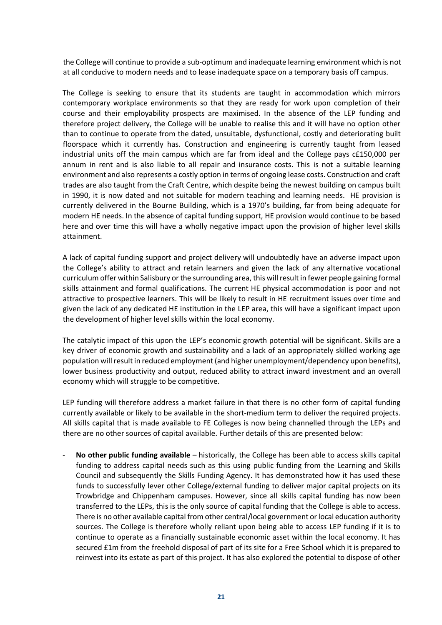the College will continue to provide a sub-optimum and inadequate learning environment which is not at all conducive to modern needs and to lease inadequate space on a temporary basis off campus.

The College is seeking to ensure that its students are taught in accommodation which mirrors contemporary workplace environments so that they are ready for work upon completion of their course and their employability prospects are maximised. In the absence of the LEP funding and therefore project delivery, the College will be unable to realise this and it will have no option other than to continue to operate from the dated, unsuitable, dysfunctional, costly and deteriorating built floorspace which it currently has. Construction and engineering is currently taught from leased industrial units off the main campus which are far from ideal and the College pays c£150,000 per annum in rent and is also liable to all repair and insurance costs. This is not a suitable learning environment and also represents a costly option in terms of ongoing lease costs. Construction and craft trades are also taught from the Craft Centre, which despite being the newest building on campus built in 1990, it is now dated and not suitable for modern teaching and learning needs. HE provision is currently delivered in the Bourne Building, which is a 1970's building, far from being adequate for modern HE needs. In the absence of capital funding support, HE provision would continue to be based here and over time this will have a wholly negative impact upon the provision of higher level skills attainment.

A lack of capital funding support and project delivery will undoubtedly have an adverse impact upon the College's ability to attract and retain learners and given the lack of any alternative vocational curriculum offer within Salisbury or the surrounding area, this will result in fewer people gaining formal skills attainment and formal qualifications. The current HE physical accommodation is poor and not attractive to prospective learners. This will be likely to result in HE recruitment issues over time and given the lack of any dedicated HE institution in the LEP area, this will have a significant impact upon the development of higher level skills within the local economy.

The catalytic impact of this upon the LEP's economic growth potential will be significant. Skills are a key driver of economic growth and sustainability and a lack of an appropriately skilled working age population will result in reduced employment (and higher unemployment/dependency upon benefits), lower business productivity and output, reduced ability to attract inward investment and an overall economy which will struggle to be competitive.

LEP funding will therefore address a market failure in that there is no other form of capital funding currently available or likely to be available in the short-medium term to deliver the required projects. All skills capital that is made available to FE Colleges is now being channelled through the LEPs and there are no other sources of capital available. Further details of this are presented below:

- **No other public funding available** – historically, the College has been able to access skills capital funding to address capital needs such as this using public funding from the Learning and Skills Council and subsequently the Skills Funding Agency. It has demonstrated how it has used these funds to successfully lever other College/external funding to deliver major capital projects on its Trowbridge and Chippenham campuses. However, since all skills capital funding has now been transferred to the LEPs, this is the only source of capital funding that the College is able to access. There is no other available capital from other central/local government or local education authority sources. The College is therefore wholly reliant upon being able to access LEP funding if it is to continue to operate as a financially sustainable economic asset within the local economy. It has secured £1m from the freehold disposal of part of its site for a Free School which it is prepared to reinvest into its estate as part of this project. It has also explored the potential to dispose of other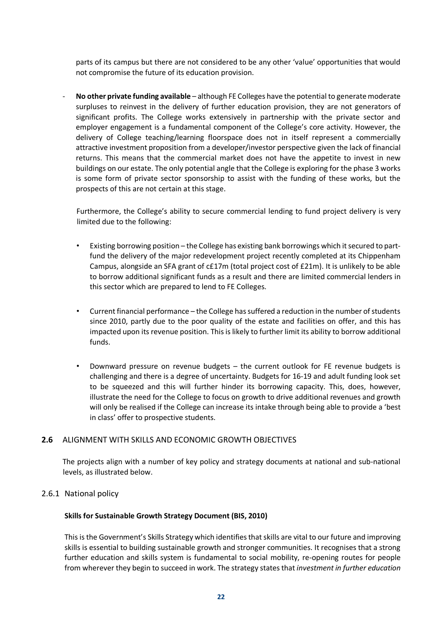parts of its campus but there are not considered to be any other 'value' opportunities that would not compromise the future of its education provision.

- **No other private funding available** – although FE Colleges have the potential to generate moderate surpluses to reinvest in the delivery of further education provision, they are not generators of significant profits. The College works extensively in partnership with the private sector and employer engagement is a fundamental component of the College's core activity. However, the delivery of College teaching/learning floorspace does not in itself represent a commercially attractive investment proposition from a developer/investor perspective given the lack of financial returns. This means that the commercial market does not have the appetite to invest in new buildings on our estate. The only potential angle that the College is exploring for the phase 3 works is some form of private sector sponsorship to assist with the funding of these works, but the prospects of this are not certain at this stage.

Furthermore, the College's ability to secure commercial lending to fund project delivery is very limited due to the following:

- Existing borrowing position the College has existing bank borrowings which it secured to partfund the delivery of the major redevelopment project recently completed at its Chippenham Campus, alongside an SFA grant of c£17m (total project cost of £21m). It is unlikely to be able to borrow additional significant funds as a result and there are limited commercial lenders in this sector which are prepared to lend to FE Colleges.
- Current financial performance the College has suffered a reduction in the number of students since 2010, partly due to the poor quality of the estate and facilities on offer, and this has impacted upon its revenue position. This is likely to further limit its ability to borrow additional funds.
- Downward pressure on revenue budgets the current outlook for FE revenue budgets is challenging and there is a degree of uncertainty. Budgets for 16-19 and adult funding look set to be squeezed and this will further hinder its borrowing capacity. This, does, however, illustrate the need for the College to focus on growth to drive additional revenues and growth will only be realised if the College can increase its intake through being able to provide a 'best in class' offer to prospective students.

#### **2.6** ALIGNMENT WITH SKILLS AND ECONOMIC GROWTH OBJECTIVES

The projects align with a number of key policy and strategy documents at national and sub-national levels, as illustrated below.

#### 2.6.1 National policy

#### **Skills for Sustainable Growth Strategy Document (BIS, 2010)**

This is the Government's Skills Strategy which identifies that skills are vital to our future and improving skills is essential to building sustainable growth and stronger communities. It recognises that a strong further education and skills system is fundamental to social mobility, re-opening routes for people from wherever they begin to succeed in work. The strategy states that *investment in further education*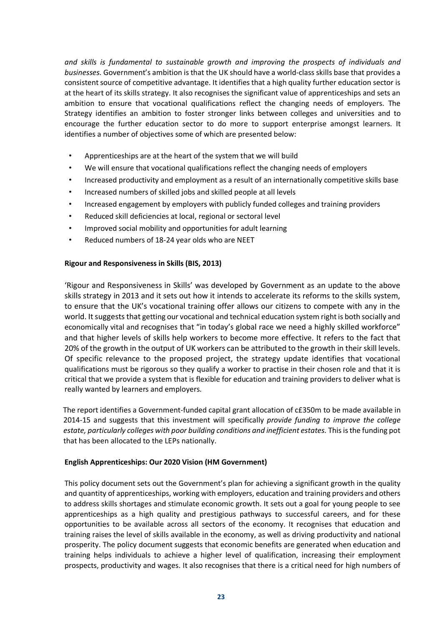*and skills is fundamental to sustainable growth and improving the prospects of individuals and businesses.* Government's ambition is that the UK should have a world-class skills base that provides a consistent source of competitive advantage. It identifies that a high quality further education sector is at the heart of its skills strategy. It also recognises the significant value of apprenticeships and sets an ambition to ensure that vocational qualifications reflect the changing needs of employers. The Strategy identifies an ambition to foster stronger links between colleges and universities and to encourage the further education sector to do more to support enterprise amongst learners. It identifies a number of objectives some of which are presented below:

- Apprenticeships are at the heart of the system that we will build
- We will ensure that vocational qualifications reflect the changing needs of employers
- Increased productivity and employment as a result of an internationally competitive skills base
- Increased numbers of skilled jobs and skilled people at all levels
- Increased engagement by employers with publicly funded colleges and training providers
- Reduced skill deficiencies at local, regional or sectoral level
- Improved social mobility and opportunities for adult learning
- Reduced numbers of 18-24 year olds who are NEET

## **Rigour and Responsiveness in Skills (BIS, 2013)**

'Rigour and Responsiveness in Skills' was developed by Government as an update to the above skills strategy in 2013 and it sets out how it intends to accelerate its reforms to the skills system, to ensure that the UK's vocational training offer allows our citizens to compete with any in the world. It suggests that getting our vocational and technical education system right is both socially and economically vital and recognises that "in today's global race we need a highly skilled workforce" and that higher levels of skills help workers to become more effective. It refers to the fact that 20% of the growth in the output of UK workers can be attributed to the growth in their skill levels. Of specific relevance to the proposed project, the strategy update identifies that vocational qualifications must be rigorous so they qualify a worker to practise in their chosen role and that it is critical that we provide a system that is flexible for education and training providers to deliver what is really wanted by learners and employers.

The report identifies a Government-funded capital grant allocation of c£350m to be made available in 2014-15 and suggests that this investment will specifically *provide funding to improve the college estate, particularly colleges with poor building conditions and inefficient estates.* This is the funding pot that has been allocated to the LEPs nationally.

## **English Apprenticeships: Our 2020 Vision (HM Government)**

This policy document sets out the Government's plan for achieving a significant growth in the quality and quantity of apprenticeships, working with employers, education and training providers and others to address skills shortages and stimulate economic growth. It sets out a goal for young people to see apprenticeships as a high quality and prestigious pathways to successful careers, and for these opportunities to be available across all sectors of the economy. It recognises that education and training raises the level of skills available in the economy, as well as driving productivity and national prosperity. The policy document suggests that economic benefits are generated when education and training helps individuals to achieve a higher level of qualification, increasing their employment prospects, productivity and wages. It also recognises that there is a critical need for high numbers of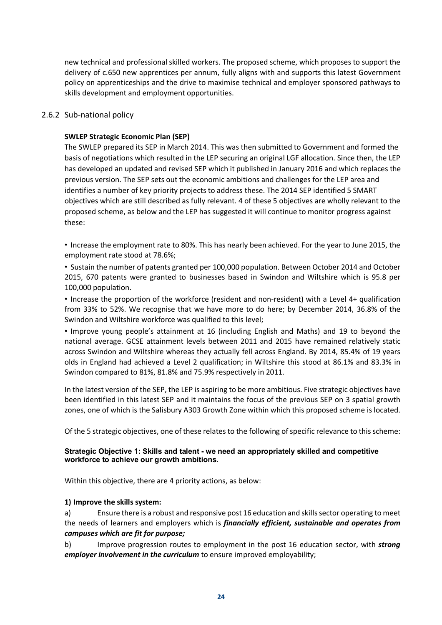new technical and professional skilled workers. The proposed scheme, which proposes to support the delivery of c.650 new apprentices per annum, fully aligns with and supports this latest Government policy on apprenticeships and the drive to maximise technical and employer sponsored pathways to skills development and employment opportunities.

## 2.6.2 Sub-national policy

## **SWLEP Strategic Economic Plan (SEP)**

The SWLEP prepared its SEP in March 2014. This was then submitted to Government and formed the basis of negotiations which resulted in the LEP securing an original LGF allocation. Since then, the LEP has developed an updated and revised SEP which it published in January 2016 and which replaces the previous version. The SEP sets out the economic ambitions and challenges for the LEP area and identifies a number of key priority projects to address these. The 2014 SEP identified 5 SMART objectives which are still described as fully relevant. 4 of these 5 objectives are wholly relevant to the proposed scheme, as below and the LEP has suggested it will continue to monitor progress against these:

• Increase the employment rate to 80%. This has nearly been achieved. For the year to June 2015, the employment rate stood at 78.6%;

• Sustain the number of patents granted per 100,000 population. Between October 2014 and October 2015, 670 patents were granted to businesses based in Swindon and Wiltshire which is 95.8 per 100,000 population.

• Increase the proportion of the workforce (resident and non-resident) with a Level 4+ qualification from 33% to 52%. We recognise that we have more to do here; by December 2014, 36.8% of the Swindon and Wiltshire workforce was qualified to this level;

• Improve young people's attainment at 16 (including English and Maths) and 19 to beyond the national average. GCSE attainment levels between 2011 and 2015 have remained relatively static across Swindon and Wiltshire whereas they actually fell across England. By 2014, 85.4% of 19 years olds in England had achieved a Level 2 qualification; in Wiltshire this stood at 86.1% and 83.3% in Swindon compared to 81%, 81.8% and 75.9% respectively in 2011.

In the latest version of the SEP, the LEP is aspiring to be more ambitious. Five strategic objectives have been identified in this latest SEP and it maintains the focus of the previous SEP on 3 spatial growth zones, one of which is the Salisbury A303 Growth Zone within which this proposed scheme is located.

Of the 5 strategic objectives, one of these relates to the following of specific relevance to this scheme:

#### **Strategic Objective 1: Skills and talent - we need an appropriately skilled and competitive workforce to achieve our growth ambitions.**

Within this objective, there are 4 priority actions, as below:

#### **1) Improve the skills system:**

a) Ensure there is a robust and responsive post 16 education and skills sector operating to meet the needs of learners and employers which is *financially efficient, sustainable and operates from campuses which are fit for purpose;*

b) Improve progression routes to employment in the post 16 education sector, with *strong employer involvement in the curriculum* to ensure improved employability;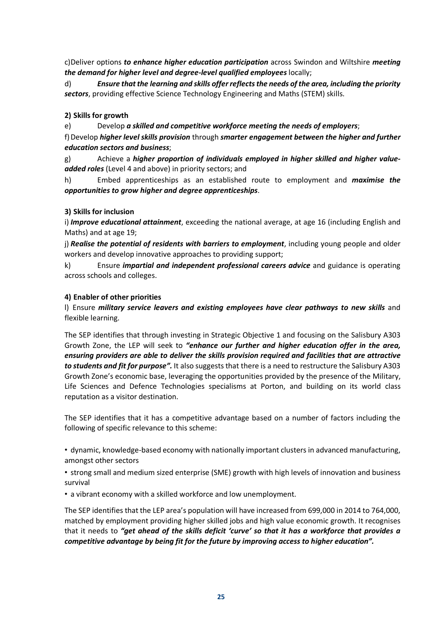c)Deliver options *to enhance higher education participation* across Swindon and Wiltshire *meeting the demand for higher level and degree-level qualified employees* locally;

d) *Ensure that the learning and skills offer reflects the needs of the area, including the priority sectors*, providing effective Science Technology Engineering and Maths (STEM) skills.

## **2) Skills for growth**

e) Develop *a skilled and competitive workforce meeting the needs of employers*;

f)Develop *higher level skills provision* through *smarter engagement between the higher and further education sectors and business*;

g) Achieve a *higher proportion of individuals employed in higher skilled and higher valueadded roles* (Level 4 and above) in priority sectors; and

h) Embed apprenticeships as an established route to employment and *maximise the opportunities to grow higher and degree apprenticeships*.

## **3) Skills for inclusion**

i) *Improve educational attainment*, exceeding the national average, at age 16 (including English and Maths) and at age 19;

i) *Realise the potential of residents with barriers to employment*, including young people and older workers and develop innovative approaches to providing support;

k) Ensure *impartial and independent professional careers advice* and guidance is operating across schools and colleges.

## **4) Enabler of other priorities**

l) Ensure *military service leavers and existing employees have clear pathways to new skills* and flexible learning.

The SEP identifies that through investing in Strategic Objective 1 and focusing on the Salisbury A303 Growth Zone, the LEP will seek to *"enhance our further and higher education offer in the area, ensuring providers are able to deliver the skills provision required and facilities that are attractive to students and fit for purpose".* It also suggests that there is a need to restructure the Salisbury A303 Growth Zone's economic base, leveraging the opportunities provided by the presence of the Military, Life Sciences and Defence Technologies specialisms at Porton, and building on its world class reputation as a visitor destination.

The SEP identifies that it has a competitive advantage based on a number of factors including the following of specific relevance to this scheme:

• dynamic, knowledge-based economy with nationally important clusters in advanced manufacturing, amongst other sectors

• strong small and medium sized enterprise (SME) growth with high levels of innovation and business survival

• a vibrant economy with a skilled workforce and low unemployment.

The SEP identifies that the LEP area's population will have increased from 699,000 in 2014 to 764,000, matched by employment providing higher skilled jobs and high value economic growth. It recognises that it needs to *"get ahead of the skills deficit 'curve' so that it has a workforce that provides a competitive advantage by being fit for the future by improving access to higher education".*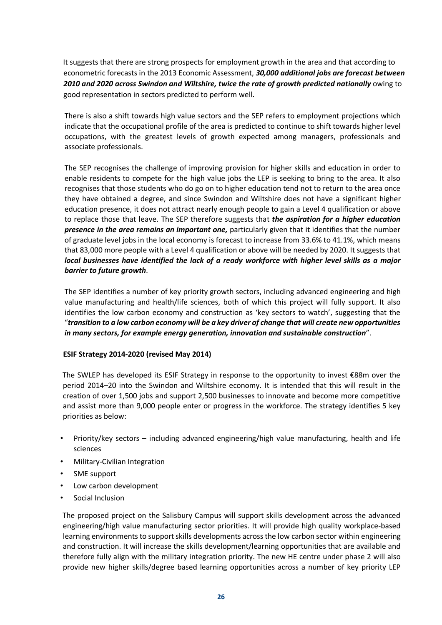It suggests that there are strong prospects for employment growth in the area and that according to econometric forecasts in the 2013 Economic Assessment, *30,000 additional jobs are forecast between 2010 and 2020 across Swindon and Wiltshire, twice the rate of growth predicted nationally* owing to good representation in sectors predicted to perform well.

There is also a shift towards high value sectors and the SEP refers to employment projections which indicate that the occupational profile of the area is predicted to continue to shift towards higher level occupations, with the greatest levels of growth expected among managers, professionals and associate professionals.

The SEP recognises the challenge of improving provision for higher skills and education in order to enable residents to compete for the high value jobs the LEP is seeking to bring to the area. It also recognises that those students who do go on to higher education tend not to return to the area once they have obtained a degree, and since Swindon and Wiltshire does not have a significant higher education presence, it does not attract nearly enough people to gain a Level 4 qualification or above to replace those that leave. The SEP therefore suggests that *the aspiration for a higher education presence in the area remains an important one,* particularly given that it identifies that the number of graduate level jobs in the local economy is forecast to increase from 33.6% to 41.1%, which means that 83,000 more people with a Level 4 qualification or above will be needed by 2020. It suggests that *local businesses have identified the lack of a ready workforce with higher level skills as a major barrier to future growth*.

The SEP identifies a number of key priority growth sectors, including advanced engineering and high value manufacturing and health/life sciences, both of which this project will fully support. It also identifies the low carbon economy and construction as 'key sectors to watch', suggesting that the "*transition to a low carbon economy will be a key driver of change that will create new opportunities in many sectors, for example energy generation, innovation and sustainable construction*".

## **ESIF Strategy 2014-2020 (revised May 2014)**

The SWLEP has developed its ESIF Strategy in response to the opportunity to invest €88m over the period 2014–20 into the Swindon and Wiltshire economy. It is intended that this will result in the creation of over 1,500 jobs and support 2,500 businesses to innovate and become more competitive and assist more than 9,000 people enter or progress in the workforce. The strategy identifies 5 key priorities as below:

- Priority/key sectors including advanced engineering/high value manufacturing, health and life sciences
- Military-Civilian Integration
- SME support
- Low carbon development
- Social Inclusion

The proposed project on the Salisbury Campus will support skills development across the advanced engineering/high value manufacturing sector priorities. It will provide high quality workplace-based learning environments to support skills developments across the low carbon sector within engineering and construction. It will increase the skills development/learning opportunities that are available and therefore fully align with the military integration priority. The new HE centre under phase 2 will also provide new higher skills/degree based learning opportunities across a number of key priority LEP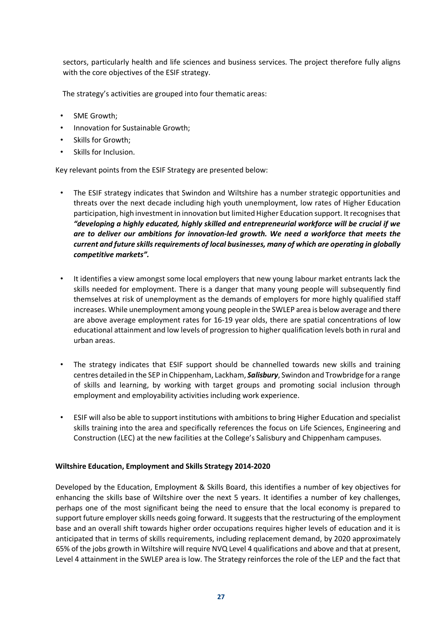sectors, particularly health and life sciences and business services. The project therefore fully aligns with the core objectives of the ESIF strategy.

The strategy's activities are grouped into four thematic areas:

- SME Growth;
- Innovation for Sustainable Growth;
- Skills for Growth;
- Skills for Inclusion.

Key relevant points from the ESIF Strategy are presented below:

- The ESIF strategy indicates that Swindon and Wiltshire has a number strategic opportunities and threats over the next decade including high youth unemployment, low rates of Higher Education participation, high investment in innovation but limited Higher Education support. It recognises that *"developing a highly educated, highly skilled and entrepreneurial workforce will be crucial if we are to deliver our ambitions for innovation-led growth. We need a workforce that meets the current and future skills requirements of local businesses, many of which are operating in globally competitive markets".*
- It identifies a view amongst some local employers that new young labour market entrants lack the skills needed for employment. There is a danger that many young people will subsequently find themselves at risk of unemployment as the demands of employers for more highly qualified staff increases. While unemployment among young people in the SWLEP area is below average and there are above average employment rates for 16-19 year olds, there are spatial concentrations of low educational attainment and low levels of progression to higher qualification levels both in rural and urban areas.
- The strategy indicates that ESIF support should be channelled towards new skills and training centres detailed in the SEP in Chippenham, Lackham, *Salisbury*, Swindon and Trowbridge for a range of skills and learning, by working with target groups and promoting social inclusion through employment and employability activities including work experience.
- ESIF will also be able to support institutions with ambitions to bring Higher Education and specialist skills training into the area and specifically references the focus on Life Sciences, Engineering and Construction (LEC) at the new facilities at the College's Salisbury and Chippenham campuses.

## **Wiltshire Education, Employment and Skills Strategy 2014-2020**

Developed by the Education, Employment & Skills Board, this identifies a number of key objectives for enhancing the skills base of Wiltshire over the next 5 years. It identifies a number of key challenges, perhaps one of the most significant being the need to ensure that the local economy is prepared to support future employer skills needs going forward. It suggests that the restructuring of the employment base and an overall shift towards higher order occupations requires higher levels of education and it is anticipated that in terms of skills requirements, including replacement demand, by 2020 approximately 65% of the jobs growth in Wiltshire will require NVQ Level 4 qualifications and above and that at present, Level 4 attainment in the SWLEP area is low. The Strategy reinforces the role of the LEP and the fact that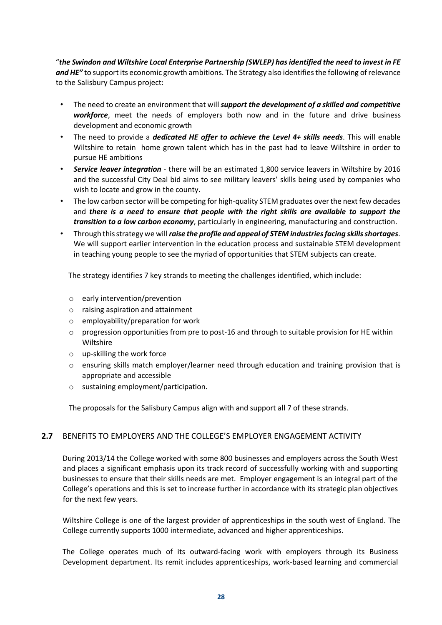"*the Swindon and Wiltshire Local Enterprise Partnership (SWLEP) has identified the need to invest in FE and HE"* to support its economic growth ambitions. The Strategy also identifies the following of relevance to the Salisbury Campus project:

- The need to create an environment that will *support the development of a skilled and competitive workforce*, meet the needs of employers both now and in the future and drive business development and economic growth
- The need to provide a *dedicated HE offer to achieve the Level 4+ skills needs*. This will enable Wiltshire to retain home grown talent which has in the past had to leave Wiltshire in order to pursue HE ambitions
- *Service leaver integration* there will be an estimated 1,800 service leavers in Wiltshire by 2016 and the successful City Deal bid aims to see military leavers' skills being used by companies who wish to locate and grow in the county.
- The low carbon sector will be competing for high-quality STEM graduates over the next few decades and *there is a need to ensure that people with the right skills are available to support the transition to a low carbon economy*, particularly in engineering, manufacturing and construction.
- Through this strategy we will *raise the profile and appeal of STEM industries facing skills shortages*. We will support earlier intervention in the education process and sustainable STEM development in teaching young people to see the myriad of opportunities that STEM subjects can create.

The strategy identifies 7 key strands to meeting the challenges identified, which include:

- o early intervention/prevention
- o raising aspiration and attainment
- o employability/preparation for work
- $\circ$  progression opportunities from pre to post-16 and through to suitable provision for HE within Wiltshire
- o up-skilling the work force
- o ensuring skills match employer/learner need through education and training provision that is appropriate and accessible
- o sustaining employment/participation.

The proposals for the Salisbury Campus align with and support all 7 of these strands.

## **2.7** BENEFITS TO EMPLOYERS AND THE COLLEGE'S EMPLOYER ENGAGEMENT ACTIVITY

During 2013/14 the College worked with some 800 businesses and employers across the South West and places a significant emphasis upon its track record of successfully working with and supporting businesses to ensure that their skills needs are met. Employer engagement is an integral part of the College's operations and this is set to increase further in accordance with its strategic plan objectives for the next few years.

Wiltshire College is one of the largest provider of apprenticeships in the south west of England. The College currently supports 1000 intermediate, advanced and higher apprenticeships.

The College operates much of its outward-facing work with employers through its Business Development department. Its remit includes apprenticeships, work-based learning and commercial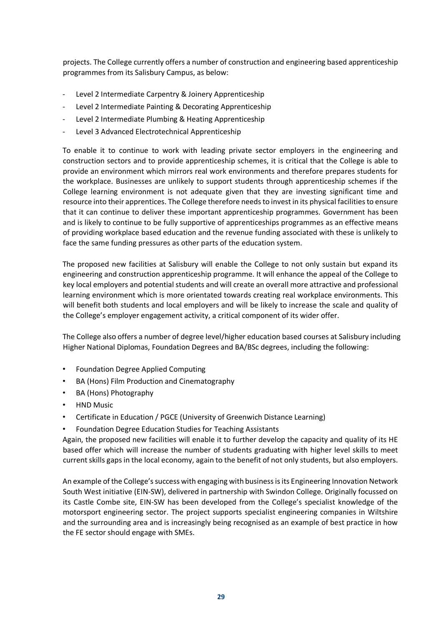projects. The College currently offers a number of construction and engineering based apprenticeship programmes from its Salisbury Campus, as below:

- Level 2 Intermediate Carpentry & Joinery Apprenticeship
- Level 2 Intermediate Painting & Decorating Apprenticeship
- Level 2 Intermediate Plumbing & Heating Apprenticeship
- Level 3 Advanced Electrotechnical Apprenticeship

To enable it to continue to work with leading private sector employers in the engineering and construction sectors and to provide apprenticeship schemes, it is critical that the College is able to provide an environment which mirrors real work environments and therefore prepares students for the workplace. Businesses are unlikely to support students through apprenticeship schemes if the College learning environment is not adequate given that they are investing significant time and resource into their apprentices. The College therefore needs to invest in its physical facilities to ensure that it can continue to deliver these important apprenticeship programmes. Government has been and is likely to continue to be fully supportive of apprenticeships programmes as an effective means of providing workplace based education and the revenue funding associated with these is unlikely to face the same funding pressures as other parts of the education system.

The proposed new facilities at Salisbury will enable the College to not only sustain but expand its engineering and construction apprenticeship programme. It will enhance the appeal of the College to key local employers and potential students and will create an overall more attractive and professional learning environment which is more orientated towards creating real workplace environments. This will benefit both students and local employers and will be likely to increase the scale and quality of the College's employer engagement activity, a critical component of its wider offer.

The College also offers a number of degree level/higher education based courses at Salisbury including Higher National Diplomas, Foundation Degrees and BA/BSc degrees, including the following:

- Foundation Degree Applied Computing
- BA (Hons) Film Production and Cinematography
- BA (Hons) Photography
- HND Music
- Certificate in Education / PGCE (University of Greenwich Distance Learning)
- Foundation Degree Education Studies for Teaching Assistants

Again, the proposed new facilities will enable it to further develop the capacity and quality of its HE based offer which will increase the number of students graduating with higher level skills to meet current skills gaps in the local economy, again to the benefit of not only students, but also employers.

An example of the College's success with engaging with business is its Engineering Innovation Network South West initiative (EIN-SW), delivered in partnership with Swindon College. Originally focussed on its Castle Combe site, EIN-SW has been developed from the College's specialist knowledge of the motorsport engineering sector. The project supports specialist engineering companies in Wiltshire and the surrounding area and is increasingly being recognised as an example of best practice in how the FE sector should engage with SMEs.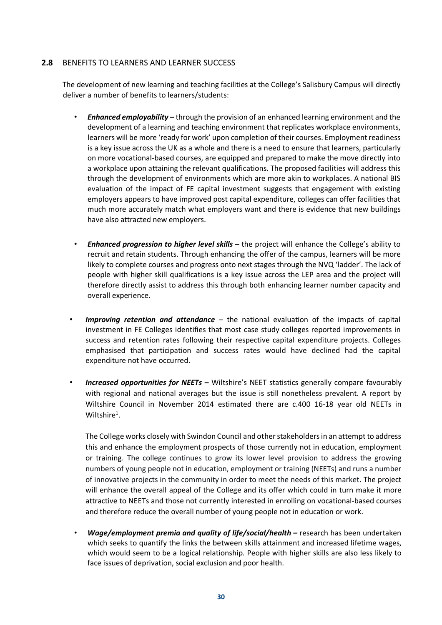## **2.8** BENEFITS TO LEARNERS AND LEARNER SUCCESS

The development of new learning and teaching facilities at the College's Salisbury Campus will directly deliver a number of benefits to learners/students:

- *Enhanced employability –* through the provision of an enhanced learning environment and the development of a learning and teaching environment that replicates workplace environments, learners will be more 'ready for work' upon completion of their courses. Employment readiness is a key issue across the UK as a whole and there is a need to ensure that learners, particularly on more vocational-based courses, are equipped and prepared to make the move directly into a workplace upon attaining the relevant qualifications. The proposed facilities will address this through the development of environments which are more akin to workplaces. A national BIS evaluation of the impact of FE capital investment suggests that engagement with existing employers appears to have improved post capital expenditure, colleges can offer facilities that much more accurately match what employers want and there is evidence that new buildings have also attracted new employers.
- *Enhanced progression to higher level skills –* the project will enhance the College's ability to recruit and retain students. Through enhancing the offer of the campus, learners will be more likely to complete courses and progress onto next stages through the NVQ 'ladder'. The lack of people with higher skill qualifications is a key issue across the LEP area and the project will therefore directly assist to address this through both enhancing learner number capacity and overall experience.
- *Improving retention and attendance* the national evaluation of the impacts of capital investment in FE Colleges identifies that most case study colleges reported improvements in success and retention rates following their respective capital expenditure projects. Colleges emphasised that participation and success rates would have declined had the capital expenditure not have occurred.
- *Increased opportunities for NEETs* **–** Wiltshire's NEET statistics generally compare favourably with regional and national averages but the issue is still nonetheless prevalent. A report by Wiltshire Council in November 2014 estimated there are c.400 16-18 year old NEETs in Wiltshire $^1$ .

The College works closely with Swindon Council and other stakeholders in an attempt to address this and enhance the employment prospects of those currently not in education, employment or training. The college continues to grow its lower level provision to address the growing numbers of young people not in education, employment or training (NEETs) and runs a number of innovative projects in the community in order to meet the needs of this market. The project will enhance the overall appeal of the College and its offer which could in turn make it more attractive to NEETs and those not currently interested in enrolling on vocational-based courses and therefore reduce the overall number of young people not in education or work.

• *Wage/employment premia and quality of life/social/health –* research has been undertaken which seeks to quantify the links the between skills attainment and increased lifetime wages, which would seem to be a logical relationship. People with higher skills are also less likely to face issues of deprivation, social exclusion and poor health.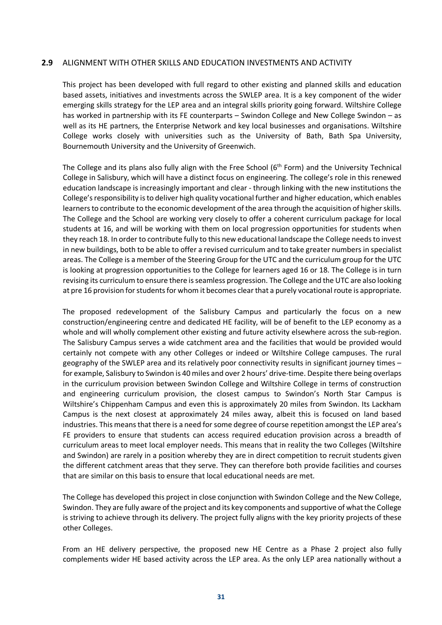#### **2.9** ALIGNMENT WITH OTHER SKILLS AND EDUCATION INVESTMENTS AND ACTIVITY

This project has been developed with full regard to other existing and planned skills and education based assets, initiatives and investments across the SWLEP area. It is a key component of the wider emerging skills strategy for the LEP area and an integral skills priority going forward. Wiltshire College has worked in partnership with its FE counterparts – Swindon College and New College Swindon – as well as its HE partners, the Enterprise Network and key local businesses and organisations. Wiltshire College works closely with universities such as the University of Bath, Bath Spa University, Bournemouth University and the University of Greenwich.

The College and its plans also fully align with the Free School  $(6<sup>th</sup>$  Form) and the University Technical College in Salisbury, which will have a distinct focus on engineering. The college's role in this renewed education landscape is increasingly important and clear - through linking with the new institutions the College's responsibility is to deliver high quality vocational further and higher education, which enables learners to contribute to the economic development of the area through the acquisition of higher skills. The College and the School are working very closely to offer a coherent curriculum package for local students at 16, and will be working with them on local progression opportunities for students when they reach 18. In order to contribute fully to this new educational landscape the College needs to invest in new buildings, both to be able to offer a revised curriculum and to take greater numbers in specialist areas. The College is a member of the Steering Group for the UTC and the curriculum group for the UTC is looking at progression opportunities to the College for learners aged 16 or 18. The College is in turn revising its curriculum to ensure there is seamless progression. The College and the UTC are also looking at pre 16 provision for students for whom it becomes clear that a purely vocational route is appropriate.

The proposed redevelopment of the Salisbury Campus and particularly the focus on a new construction/engineering centre and dedicated HE facility, will be of benefit to the LEP economy as a whole and will wholly complement other existing and future activity elsewhere across the sub-region. The Salisbury Campus serves a wide catchment area and the facilities that would be provided would certainly not compete with any other Colleges or indeed or Wiltshire College campuses. The rural geography of the SWLEP area and its relatively poor connectivity results in significant journey times – for example, Salisbury to Swindon is 40 miles and over 2 hours' drive-time. Despite there being overlaps in the curriculum provision between Swindon College and Wiltshire College in terms of construction and engineering curriculum provision, the closest campus to Swindon's North Star Campus is Wiltshire's Chippenham Campus and even this is approximately 20 miles from Swindon. Its Lackham Campus is the next closest at approximately 24 miles away, albeit this is focused on land based industries. This means that there is a need for some degree of course repetition amongst the LEP area's FE providers to ensure that students can access required education provision across a breadth of curriculum areas to meet local employer needs. This means that in reality the two Colleges (Wiltshire and Swindon) are rarely in a position whereby they are in direct competition to recruit students given the different catchment areas that they serve. They can therefore both provide facilities and courses that are similar on this basis to ensure that local educational needs are met.

The College has developed this project in close conjunction with Swindon College and the New College, Swindon. They are fully aware of the project and its key components and supportive of what the College is striving to achieve through its delivery. The project fully aligns with the key priority projects of these other Colleges.

From an HE delivery perspective, the proposed new HE Centre as a Phase 2 project also fully complements wider HE based activity across the LEP area. As the only LEP area nationally without a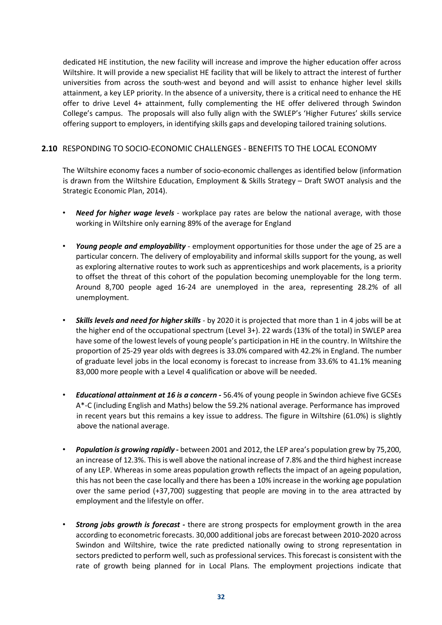dedicated HE institution, the new facility will increase and improve the higher education offer across Wiltshire. It will provide a new specialist HE facility that will be likely to attract the interest of further universities from across the south-west and beyond and will assist to enhance higher level skills attainment, a key LEP priority. In the absence of a university, there is a critical need to enhance the HE offer to drive Level 4+ attainment, fully complementing the HE offer delivered through Swindon College's campus. The proposals will also fully align with the SWLEP's 'Higher Futures' skills service offering support to employers, in identifying skills gaps and developing tailored training solutions.

## **2.10** RESPONDING TO SOCIO-ECONOMIC CHALLENGES - BENEFITS TO THE LOCAL ECONOMY

The Wiltshire economy faces a number of socio-economic challenges as identified below (information is drawn from the Wiltshire Education, Employment & Skills Strategy – Draft SWOT analysis and the Strategic Economic Plan, 2014).

- *Need for higher wage levels* workplace pay rates are below the national average, with those working in Wiltshire only earning 89% of the average for England
- *Young people and employability* employment opportunities for those under the age of 25 are a particular concern. The delivery of employability and informal skills support for the young, as well as exploring alternative routes to work such as apprenticeships and work placements, is a priority to offset the threat of this cohort of the population becoming unemployable for the long term. Around 8,700 people aged 16-24 are unemployed in the area, representing 28.2% of all unemployment.
- *Skills levels and need for higher skills* by 2020 it is projected that more than 1 in 4 jobs will be at the higher end of the occupational spectrum (Level 3+). 22 wards (13% of the total) in SWLEP area have some of the lowest levels of young people's participation in HE in the country. In Wiltshire the proportion of 25-29 year olds with degrees is 33.0% compared with 42.2% in England. The number of graduate level jobs in the local economy is forecast to increase from 33.6% to 41.1% meaning 83,000 more people with a Level 4 qualification or above will be needed.
- *Educational attainment at 16 is a concern -* 56.4% of young people in Swindon achieve five GCSEs A\*-C (including English and Maths) below the 59.2% national average. Performance has improved in recent years but this remains a key issue to address. The figure in Wiltshire (61.0%) is slightly above the national average.
- *Population is growing rapidly -* between 2001 and 2012, the LEP area's population grew by 75,200, an increase of 12.3%. This is well above the national increase of 7.8% and the third highest increase of any LEP. Whereas in some areas population growth reflects the impact of an ageing population, this has not been the case locally and there has been a 10% increase in the working age population over the same period (+37,700) suggesting that people are moving in to the area attracted by employment and the lifestyle on offer.
- *Strong jobs growth is forecast -* there are strong prospects for employment growth in the area according to econometric forecasts. 30,000 additional jobs are forecast between 2010-2020 across Swindon and Wiltshire, twice the rate predicted nationally owing to strong representation in sectors predicted to perform well, such as professional services. This forecast is consistent with the rate of growth being planned for in Local Plans. The employment projections indicate that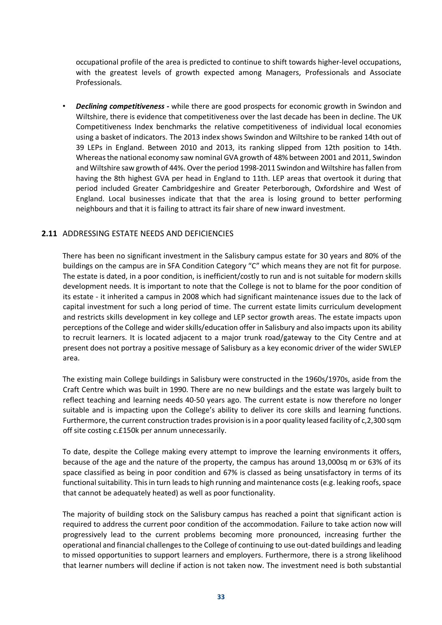occupational profile of the area is predicted to continue to shift towards higher-level occupations, with the greatest levels of growth expected among Managers, Professionals and Associate Professionals.

• *Declining competitiveness -* while there are good prospects for economic growth in Swindon and Wiltshire, there is evidence that competitiveness over the last decade has been in decline. The UK Competitiveness Index benchmarks the relative competitiveness of individual local economies using a basket of indicators. The 2013 index shows Swindon and Wiltshire to be ranked 14th out of 39 LEPs in England. Between 2010 and 2013, its ranking slipped from 12th position to 14th. Whereas the national economy saw nominal GVA growth of 48% between 2001 and 2011, Swindon and Wiltshire saw growth of 44%. Over the period 1998-2011 Swindon and Wiltshire has fallen from having the 8th highest GVA per head in England to 11th. LEP areas that overtook it during that period included Greater Cambridgeshire and Greater Peterborough, Oxfordshire and West of England. Local businesses indicate that that the area is losing ground to better performing neighbours and that it is failing to attract its fair share of new inward investment.

## **2.11** ADDRESSING ESTATE NEEDS AND DEFICIENCIES

There has been no significant investment in the Salisbury campus estate for 30 years and 80% of the buildings on the campus are in SFA Condition Category "C" which means they are not fit for purpose. The estate is dated, in a poor condition, is inefficient/costly to run and is not suitable for modern skills development needs. It is important to note that the College is not to blame for the poor condition of its estate - it inherited a campus in 2008 which had significant maintenance issues due to the lack of capital investment for such a long period of time. The current estate limits curriculum development and restricts skills development in key college and LEP sector growth areas. The estate impacts upon perceptions of the College and wider skills/education offer in Salisbury and also impacts upon its ability to recruit learners. It is located adjacent to a major trunk road/gateway to the City Centre and at present does not portray a positive message of Salisbury as a key economic driver of the wider SWLEP area.

The existing main College buildings in Salisbury were constructed in the 1960s/1970s, aside from the Craft Centre which was built in 1990. There are no new buildings and the estate was largely built to reflect teaching and learning needs 40-50 years ago. The current estate is now therefore no longer suitable and is impacting upon the College's ability to deliver its core skills and learning functions. Furthermore, the current construction trades provision is in a poor quality leased facility of c,2,300 sqm off site costing c.£150k per annum unnecessarily.

To date, despite the College making every attempt to improve the learning environments it offers, because of the age and the nature of the property, the campus has around 13,000sq m or 63% of its space classified as being in poor condition and 67% is classed as being unsatisfactory in terms of its functional suitability. This in turn leads to high running and maintenance costs (e.g. leaking roofs, space that cannot be adequately heated) as well as poor functionality.

The majority of building stock on the Salisbury campus has reached a point that significant action is required to address the current poor condition of the accommodation. Failure to take action now will progressively lead to the current problems becoming more pronounced, increasing further the operational and financial challenges to the College of continuing to use out-dated buildings and leading to missed opportunities to support learners and employers. Furthermore, there is a strong likelihood that learner numbers will decline if action is not taken now. The investment need is both substantial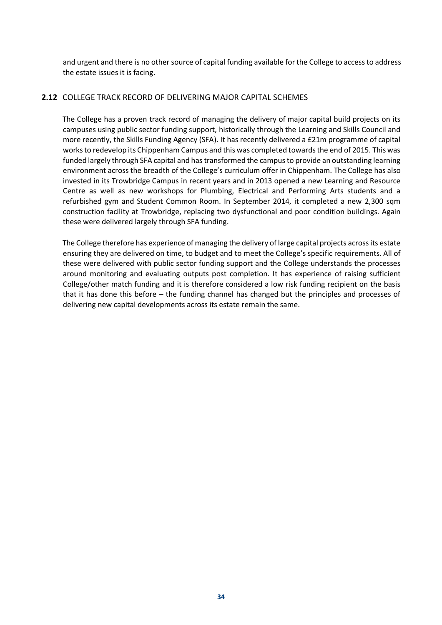and urgent and there is no other source of capital funding available for the College to access to address the estate issues it is facing.

## **2.12** COLLEGE TRACK RECORD OF DELIVERING MAJOR CAPITAL SCHEMES

The College has a proven track record of managing the delivery of major capital build projects on its campuses using public sector funding support, historically through the Learning and Skills Council and more recently, the Skills Funding Agency (SFA). It has recently delivered a £21m programme of capital works to redevelop its Chippenham Campus and this was completed towards the end of 2015. This was funded largely through SFA capital and has transformed the campus to provide an outstanding learning environment across the breadth of the College's curriculum offer in Chippenham. The College has also invested in its Trowbridge Campus in recent years and in 2013 opened a new Learning and Resource Centre as well as new workshops for Plumbing, Electrical and Performing Arts students and a refurbished gym and Student Common Room. In September 2014, it completed a new 2,300 sqm construction facility at Trowbridge, replacing two dysfunctional and poor condition buildings. Again these were delivered largely through SFA funding.

The College therefore has experience of managing the delivery of large capital projects across its estate ensuring they are delivered on time, to budget and to meet the College's specific requirements. All of these were delivered with public sector funding support and the College understands the processes around monitoring and evaluating outputs post completion. It has experience of raising sufficient College/other match funding and it is therefore considered a low risk funding recipient on the basis that it has done this before – the funding channel has changed but the principles and processes of delivering new capital developments across its estate remain the same.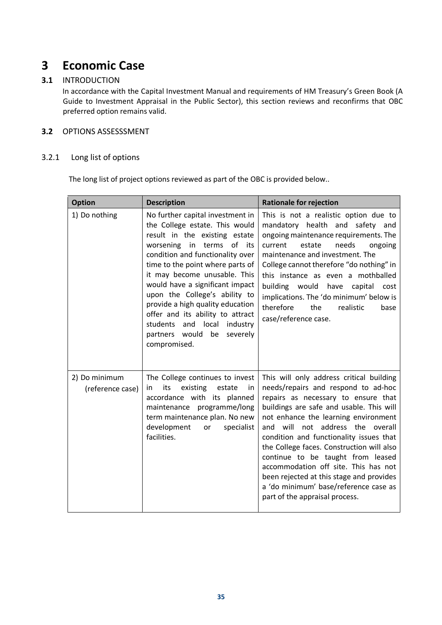## **3 Economic Case**

## **3.1** INTRODUCTION

In accordance with the Capital Investment Manual and requirements of HM Treasury's Green Book (A Guide to Investment Appraisal in the Public Sector), this section reviews and reconfirms that OBC preferred option remains valid.

## **3.2** OPTIONS ASSESSSMENT

## 3.2.1 Long list of options

The long list of project options reviewed as part of the OBC is provided below..

| <b>Option</b>                     | <b>Description</b>                                                                                                                                                                                                                                                                                                                                                                                                                                                   | <b>Rationale for rejection</b>                                                                                                                                                                                                                                                                                                                                                                                                                                                                                                             |
|-----------------------------------|----------------------------------------------------------------------------------------------------------------------------------------------------------------------------------------------------------------------------------------------------------------------------------------------------------------------------------------------------------------------------------------------------------------------------------------------------------------------|--------------------------------------------------------------------------------------------------------------------------------------------------------------------------------------------------------------------------------------------------------------------------------------------------------------------------------------------------------------------------------------------------------------------------------------------------------------------------------------------------------------------------------------------|
| 1) Do nothing                     | No further capital investment in<br>the College estate. This would<br>result in the existing estate<br>worsening in terms of its<br>condition and functionality over<br>time to the point where parts of<br>it may become unusable. This<br>would have a significant impact<br>upon the College's ability to<br>provide a high quality education<br>offer and its ability to attract<br>students and local industry<br>partners would be<br>severely<br>compromised. | This is not a realistic option due to<br>mandatory health and safety and<br>ongoing maintenance requirements. The<br>needs<br>current<br>estate<br>ongoing<br>maintenance and investment. The<br>College cannot therefore "do nothing" in<br>this instance as even a mothballed<br>building would have capital<br>cost<br>implications. The 'do minimum' below is<br>therefore<br>the<br>realistic<br>base<br>case/reference case.                                                                                                         |
| 2) Do minimum<br>(reference case) | The College continues to invest<br>its<br>existing<br>in<br>estate<br>in<br>accordance with its planned<br>maintenance programme/long<br>term maintenance plan. No new<br>development<br>specialist<br>or<br>facilities.                                                                                                                                                                                                                                             | This will only address critical building<br>needs/repairs and respond to ad-hoc<br>repairs as necessary to ensure that<br>buildings are safe and usable. This will<br>not enhance the learning environment<br>and will not address the overall<br>condition and functionality issues that<br>the College faces. Construction will also<br>continue to be taught from leased<br>accommodation off site. This has not<br>been rejected at this stage and provides<br>a 'do minimum' base/reference case as<br>part of the appraisal process. |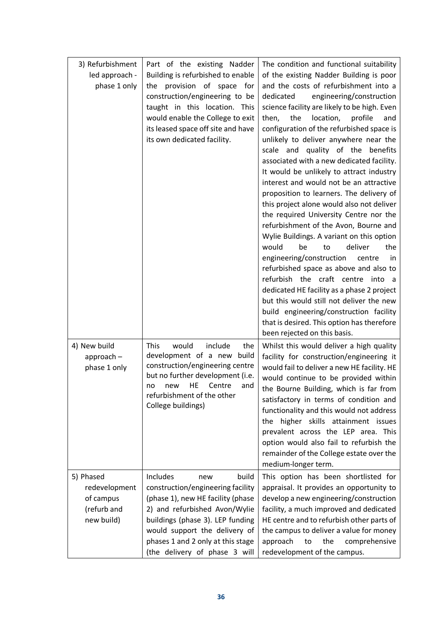| 3) Refurbishment<br>led approach -<br>phase 1 only                   | Part of the existing Nadder<br>Building is refurbished to enable<br>provision of space for<br>the<br>construction/engineering to be<br>taught in this location. This<br>would enable the College to exit<br>its leased space off site and have<br>its own dedicated facility.  | The condition and functional suitability<br>of the existing Nadder Building is poor<br>and the costs of refurbishment into a<br>engineering/construction<br>dedicated<br>science facility are likely to be high. Even<br>the<br>location,<br>profile<br>then,<br>and<br>configuration of the refurbished space is<br>unlikely to deliver anywhere near the<br>scale and quality of the benefits<br>associated with a new dedicated facility.<br>It would be unlikely to attract industry<br>interest and would not be an attractive<br>proposition to learners. The delivery of<br>this project alone would also not deliver<br>the required University Centre nor the<br>refurbishment of the Avon, Bourne and<br>Wylie Buildings. A variant on this option<br>would<br>deliver<br>be<br>the<br>to<br>engineering/construction<br>centre<br>in.<br>refurbished space as above and also to<br>refurbish the craft centre into a<br>dedicated HE facility as a phase 2 project<br>but this would still not deliver the new<br>build engineering/construction facility<br>that is desired. This option has therefore<br>been rejected on this basis. |
|----------------------------------------------------------------------|--------------------------------------------------------------------------------------------------------------------------------------------------------------------------------------------------------------------------------------------------------------------------------|----------------------------------------------------------------------------------------------------------------------------------------------------------------------------------------------------------------------------------------------------------------------------------------------------------------------------------------------------------------------------------------------------------------------------------------------------------------------------------------------------------------------------------------------------------------------------------------------------------------------------------------------------------------------------------------------------------------------------------------------------------------------------------------------------------------------------------------------------------------------------------------------------------------------------------------------------------------------------------------------------------------------------------------------------------------------------------------------------------------------------------------------------|
| 4) New build<br>$approach -$<br>phase 1 only                         | <b>This</b><br>would<br>include<br>the<br>development of a new<br>build<br>construction/engineering centre<br>but no further development (i.e.<br>HE<br>Centre<br>new<br>and<br>no<br>refurbishment of the other<br>College buildings)                                         | Whilst this would deliver a high quality<br>facility for construction/engineering it<br>would fail to deliver a new HE facility. HE<br>would continue to be provided within<br>the Bourne Building, which is far from<br>satisfactory in terms of condition and<br>functionality and this would not address<br>the higher skills attainment issues<br>prevalent across the LEP area. This<br>option would also fail to refurbish the<br>remainder of the College estate over the<br>medium-longer term.                                                                                                                                                                                                                                                                                                                                                                                                                                                                                                                                                                                                                                            |
| 5) Phased<br>redevelopment<br>of campus<br>(refurb and<br>new build) | Includes<br>build<br>new<br>construction/engineering facility<br>(phase 1), new HE facility (phase<br>2) and refurbished Avon/Wylie<br>buildings (phase 3). LEP funding<br>would support the delivery of<br>phases 1 and 2 only at this stage<br>(the delivery of phase 3 will | This option has been shortlisted for<br>appraisal. It provides an opportunity to<br>develop a new engineering/construction<br>facility, a much improved and dedicated<br>HE centre and to refurbish other parts of<br>the campus to deliver a value for money<br>comprehensive<br>approach<br>the<br>to<br>redevelopment of the campus.                                                                                                                                                                                                                                                                                                                                                                                                                                                                                                                                                                                                                                                                                                                                                                                                            |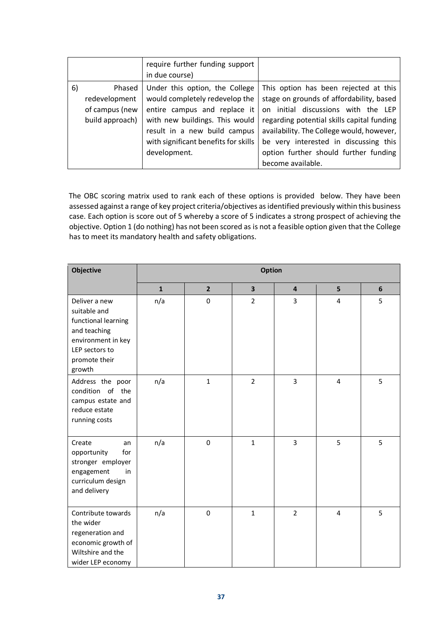|    |                 | require further funding support<br>in due course) |                                            |
|----|-----------------|---------------------------------------------------|--------------------------------------------|
| 6) | Phased          | Under this option, the College                    | This option has been rejected at this      |
|    | redevelopment   | would completely redevelop the                    | stage on grounds of affordability, based   |
|    | of campus (new  | entire campus and replace it                      | on initial discussions with the LEP        |
|    | build approach) | with new buildings. This would                    | regarding potential skills capital funding |
|    |                 | result in a new build campus                      | availability. The College would, however,  |
|    |                 | with significant benefits for skills              | be very interested in discussing this      |
|    |                 | development.                                      | option further should further funding      |
|    |                 |                                                   | become available.                          |

The OBC scoring matrix used to rank each of these options is provided below. They have been assessed against a range of key project criteria/objectives as identified previously within this business case. Each option is score out of 5 whereby a score of 5 indicates a strong prospect of achieving the objective. Option 1 (do nothing) has not been scored as is not a feasible option given that the College has to meet its mandatory health and safety obligations.

| Objective                                                                                                                               | <b>Option</b> |                |                |                |                |   |
|-----------------------------------------------------------------------------------------------------------------------------------------|---------------|----------------|----------------|----------------|----------------|---|
|                                                                                                                                         | $\mathbf{1}$  | $\overline{2}$ | 3              | $\overline{4}$ | 5              | 6 |
| Deliver a new<br>suitable and<br>functional learning<br>and teaching<br>environment in key<br>LEP sectors to<br>promote their<br>growth | n/a           | $\mathbf 0$    | $\overline{2}$ | 3              | 4              | 5 |
| Address the poor<br>condition of the<br>campus estate and<br>reduce estate<br>running costs                                             | n/a           | $\mathbf{1}$   | $\overline{2}$ | 3              | $\overline{4}$ | 5 |
| Create<br>an<br>for<br>opportunity<br>stronger employer<br>engagement<br>in<br>curriculum design<br>and delivery                        | n/a           | $\mathbf 0$    | $\mathbf{1}$   | $\overline{3}$ | 5              | 5 |
| Contribute towards<br>the wider<br>regeneration and<br>economic growth of<br>Wiltshire and the<br>wider LEP economy                     | n/a           | $\mathbf 0$    | $\mathbf{1}$   | $\overline{2}$ | $\overline{4}$ | 5 |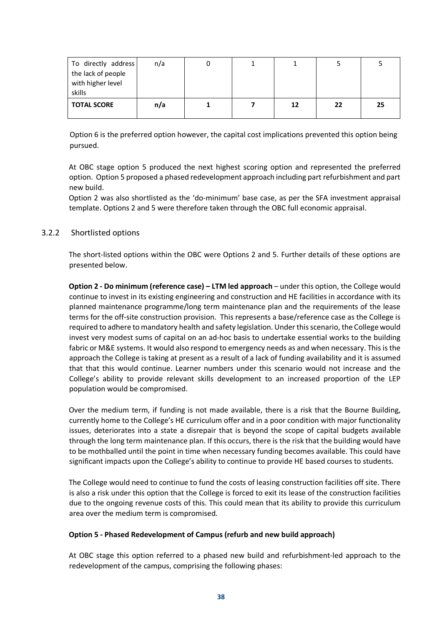| To directly address<br>the lack of people<br>with higher level<br>skills | n/a | O |    |    |    |
|--------------------------------------------------------------------------|-----|---|----|----|----|
| <b>TOTAL SCORE</b>                                                       | n/a |   | 12 | 22 | 25 |

Option 6 is the preferred option however, the capital cost implications prevented this option being pursued.

At OBC stage option 5 produced the next highest scoring option and represented the preferred option. Option 5 proposed a phased redevelopment approach including part refurbishment and part new build.

Option 2 was also shortlisted as the 'do-minimum' base case, as per the SFA investment appraisal template. Options 2 and 5 were therefore taken through the OBC full economic appraisal.

## 3.2.2 Shortlisted options

The short-listed options within the OBC were Options 2 and 5. Further details of these options are presented below.

**Option 2 - Do minimum (reference case) – LTM led approach** – under this option, the College would continue to invest in its existing engineering and construction and HE facilities in accordance with its planned maintenance programme/long term maintenance plan and the requirements of the lease terms for the off-site construction provision. This represents a base/reference case as the College is required to adhere to mandatory health and safety legislation. Under this scenario, the College would invest very modest sums of capital on an ad-hoc basis to undertake essential works to the building fabric or M&E systems. It would also respond to emergency needs as and when necessary. This is the approach the College is taking at present as a result of a lack of funding availability and it is assumed that that this would continue. Learner numbers under this scenario would not increase and the College's ability to provide relevant skills development to an increased proportion of the LEP population would be compromised.

Over the medium term, if funding is not made available, there is a risk that the Bourne Building, currently home to the College's HE curriculum offer and in a poor condition with major functionality issues, deteriorates into a state a disrepair that is beyond the scope of capital budgets available through the long term maintenance plan. If this occurs, there is the risk that the building would have to be mothballed until the point in time when necessary funding becomes available. This could have significant impacts upon the College's ability to continue to provide HE based courses to students.

The College would need to continue to fund the costs of leasing construction facilities off site. There is also a risk under this option that the College is forced to exit its lease of the construction facilities due to the ongoing revenue costs of this. This could mean that its ability to provide this curriculum area over the medium term is compromised.

## **Option 5 - Phased Redevelopment of Campus (refurb and new build approach)**

At OBC stage this option referred to a phased new build and refurbishment-led approach to the redevelopment of the campus, comprising the following phases: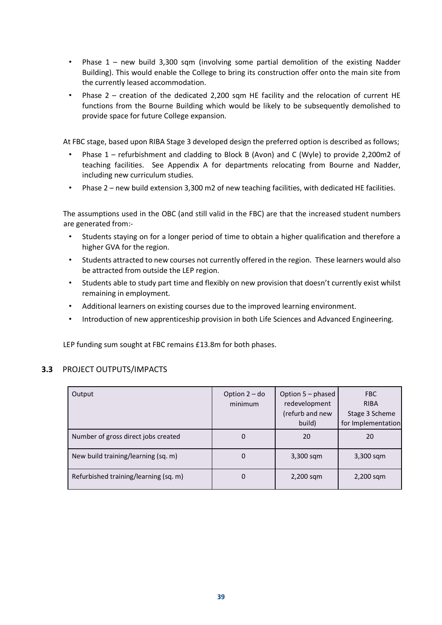- Phase 1 new build 3,300 sqm (involving some partial demolition of the existing Nadder Building). This would enable the College to bring its construction offer onto the main site from the currently leased accommodation.
- Phase  $2$  creation of the dedicated 2,200 sqm HE facility and the relocation of current HE functions from the Bourne Building which would be likely to be subsequently demolished to provide space for future College expansion.

At FBC stage, based upon RIBA Stage 3 developed design the preferred option is described as follows;

- Phase 1 refurbishment and cladding to Block B (Avon) and C (Wyle) to provide 2,200m2 of teaching facilities. See Appendix A for departments relocating from Bourne and Nadder, including new curriculum studies.
- Phase 2 new build extension 3,300 m2 of new teaching facilities, with dedicated HE facilities.

The assumptions used in the OBC (and still valid in the FBC) are that the increased student numbers are generated from:-

- Students staying on for a longer period of time to obtain a higher qualification and therefore a higher GVA for the region.
- Students attracted to new courses not currently offered in the region. These learners would also be attracted from outside the LEP region.
- Students able to study part time and flexibly on new provision that doesn't currently exist whilst remaining in employment.
- Additional learners on existing courses due to the improved learning environment.
- Introduction of new apprenticeship provision in both Life Sciences and Advanced Engineering.

LEP funding sum sought at FBC remains £13.8m for both phases.

## **3.3** PROJECT OUTPUTS/IMPACTS

| Output                                | Option $2 -$ do<br>minimum | Option 5 – phased<br>redevelopment<br>(refurb and new<br>build) | <b>FBC</b><br><b>RIBA</b><br>Stage 3 Scheme<br>for Implementation |
|---------------------------------------|----------------------------|-----------------------------------------------------------------|-------------------------------------------------------------------|
| Number of gross direct jobs created   | 0                          | 20                                                              | 20                                                                |
| New build training/learning (sq. m)   | 0                          | $3,300$ sqm                                                     | $3,300$ sqm                                                       |
| Refurbished training/learning (sq. m) | 0                          | $2,200$ sqm                                                     | 2,200 sqm                                                         |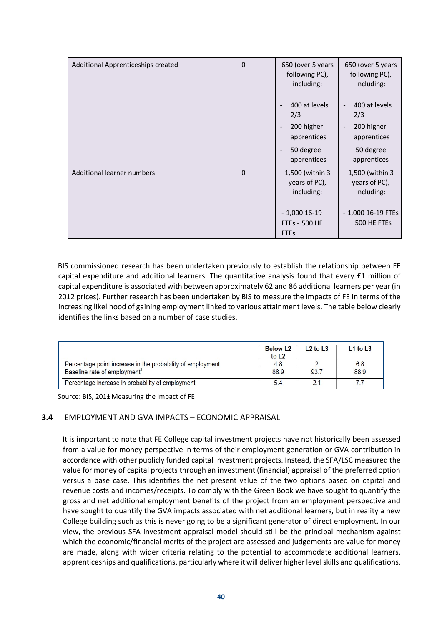| Additional Apprenticeships created | $\mathbf 0$ | 650 (over 5 years<br>following PC),<br>including:                                                                                     | 650 (over 5 years<br>following PC),<br>including:                                                         |
|------------------------------------|-------------|---------------------------------------------------------------------------------------------------------------------------------------|-----------------------------------------------------------------------------------------------------------|
|                                    |             | 400 at levels<br>2/3<br>200 higher<br>$\overline{\phantom{a}}$<br>apprentices<br>50 degree<br>$\overline{\phantom{a}}$<br>apprentices | 400 at levels<br>2/3<br>200 higher<br>$\overline{\phantom{a}}$<br>apprentices<br>50 degree<br>apprentices |
| Additional learner numbers         | $\mathbf 0$ | 1,500 (within 3<br>years of PC),<br>including:<br>$-1,000$ 16-19<br>FTEs - 500 HE<br><b>FTEs</b>                                      | 1,500 (within 3<br>years of PC),<br>including:<br>- 1,000 16-19 FTEs<br>- 500 HE FTEs                     |

BIS commissioned research has been undertaken previously to establish the relationship between FE capital expenditure and additional learners. The quantitative analysis found that every £1 million of capital expenditure is associated with between approximately 62 and 86 additional learners per year (in 2012 prices). Further research has been undertaken by BIS to measure the impacts of FE in terms of the increasing likelihood of gaining employment linked to various attainment levels. The table below clearly identifies the links based on a number of case studies.

|                                                            | <b>Below L2</b><br>to L <sub>2</sub> | $L2$ to $L3$ | $L1$ to $L3$ |
|------------------------------------------------------------|--------------------------------------|--------------|--------------|
| Percentage point increase in the probability of employment | 4.8                                  |              | 6.8          |
| Baseline rate of employment                                | 88.9                                 | 93.7         | 88.9         |
| Percentage increase in probability of employment           | 5.4                                  |              |              |

Source: BIS, 2014 Measuring the Impact of FE

## **3.4** EMPLOYMENT AND GVA IMPACTS – ECONOMIC APPRAISAL

It is important to note that FE College capital investment projects have not historically been assessed from a value for money perspective in terms of their employment generation or GVA contribution in accordance with other publicly funded capital investment projects. Instead, the SFA/LSC measured the value for money of capital projects through an investment (financial) appraisal of the preferred option versus a base case. This identifies the net present value of the two options based on capital and revenue costs and incomes/receipts. To comply with the Green Book we have sought to quantify the gross and net additional employment benefits of the project from an employment perspective and have sought to quantify the GVA impacts associated with net additional learners, but in reality a new College building such as this is never going to be a significant generator of direct employment. In our view, the previous SFA investment appraisal model should still be the principal mechanism against which the economic/financial merits of the project are assessed and judgements are value for money are made, along with wider criteria relating to the potential to accommodate additional learners, apprenticeships and qualifications, particularly where it will deliver higher level skills and qualifications.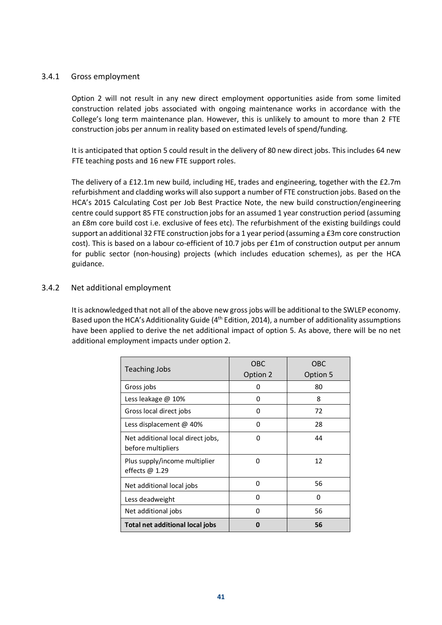## 3.4.1 Gross employment

Option 2 will not result in any new direct employment opportunities aside from some limited construction related jobs associated with ongoing maintenance works in accordance with the College's long term maintenance plan. However, this is unlikely to amount to more than 2 FTE construction jobs per annum in reality based on estimated levels of spend/funding.

It is anticipated that option 5 could result in the delivery of 80 new direct jobs. This includes 64 new FTE teaching posts and 16 new FTE support roles.

The delivery of a £12.1m new build, including HE, trades and engineering, together with the £2.7m refurbishment and cladding works will also support a number of FTE construction jobs. Based on the HCA's 2015 Calculating Cost per Job Best Practice Note, the new build construction/engineering centre could support 85 FTE construction jobs for an assumed 1 year construction period (assuming an £8m core build cost i.e. exclusive of fees etc). The refurbishment of the existing buildings could support an additional 32 FTE construction jobs for a 1 year period (assuming a £3m core construction cost). This is based on a labour co-efficient of 10.7 jobs per £1m of construction output per annum for public sector (non-housing) projects (which includes education schemes), as per the HCA guidance.

## 3.4.2 Net additional employment

It is acknowledged that not all of the above new gross jobs will be additional to the SWLEP economy. Based upon the HCA's Additionality Guide (4<sup>th</sup> Edition, 2014), a number of additionality assumptions have been applied to derive the net additional impact of option 5. As above, there will be no net additional employment impacts under option 2.

| <b>Teaching Jobs</b>                                    | OBC<br>Option 2 | <b>OBC</b><br>Option 5 |
|---------------------------------------------------------|-----------------|------------------------|
| Gross jobs                                              | O               | 80                     |
| Less leakage @ 10%                                      | $\Omega$        | 8                      |
| Gross local direct jobs                                 | O               | 72                     |
| Less displacement @ 40%                                 | O               | 28                     |
| Net additional local direct jobs,<br>before multipliers | ŋ               | 44                     |
| Plus supply/income multiplier<br>effects $\omega$ 1.29  | O               | 12                     |
| Net additional local jobs                               | 0               | 56                     |
| Less deadweight                                         | 0               | 0                      |
| Net additional jobs                                     | 0               | 56                     |
| Total net additional local jobs                         | Ω               | 56                     |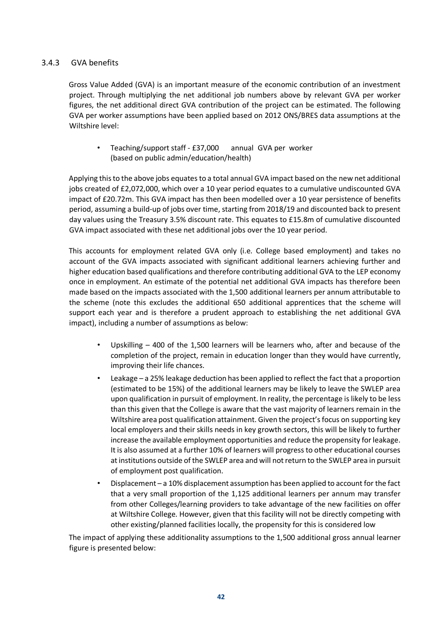## 3.4.3 GVA benefits

Gross Value Added (GVA) is an important measure of the economic contribution of an investment project. Through multiplying the net additional job numbers above by relevant GVA per worker figures, the net additional direct GVA contribution of the project can be estimated. The following GVA per worker assumptions have been applied based on 2012 ONS/BRES data assumptions at the Wiltshire level:

• Teaching/support staff - £37,000 annual GVA per worker (based on public admin/education/health)

Applying this to the above jobs equates to a total annual GVA impact based on the new net additional jobs created of £2,072,000, which over a 10 year period equates to a cumulative undiscounted GVA impact of £20.72m. This GVA impact has then been modelled over a 10 year persistence of benefits period, assuming a build-up of jobs over time, starting from 2018/19 and discounted back to present day values using the Treasury 3.5% discount rate. This equates to £15.8m of cumulative discounted GVA impact associated with these net additional jobs over the 10 year period.

This accounts for employment related GVA only (i.e. College based employment) and takes no account of the GVA impacts associated with significant additional learners achieving further and higher education based qualifications and therefore contributing additional GVA to the LEP economy once in employment. An estimate of the potential net additional GVA impacts has therefore been made based on the impacts associated with the 1,500 additional learners per annum attributable to the scheme (note this excludes the additional 650 additional apprentices that the scheme will support each year and is therefore a prudent approach to establishing the net additional GVA impact), including a number of assumptions as below:

- Upskilling 400 of the 1,500 learners will be learners who, after and because of the completion of the project, remain in education longer than they would have currently, improving their life chances.
- Leakage a 25% leakage deduction has been applied to reflect the fact that a proportion (estimated to be 15%) of the additional learners may be likely to leave the SWLEP area upon qualification in pursuit of employment. In reality, the percentage is likely to be less than this given that the College is aware that the vast majority of learners remain in the Wiltshire area post qualification attainment. Given the project's focus on supporting key local employers and their skills needs in key growth sectors, this will be likely to further increase the available employment opportunities and reduce the propensity for leakage. It is also assumed at a further 10% of learners will progress to other educational courses at institutions outside of the SWLEP area and will not return to the SWLEP area in pursuit of employment post qualification.
- Displacement a 10% displacement assumption has been applied to account for the fact that a very small proportion of the 1,125 additional learners per annum may transfer from other Colleges/learning providers to take advantage of the new facilities on offer at Wiltshire College. However, given that this facility will not be directly competing with other existing/planned facilities locally, the propensity for this is considered low

The impact of applying these additionality assumptions to the 1,500 additional gross annual learner figure is presented below: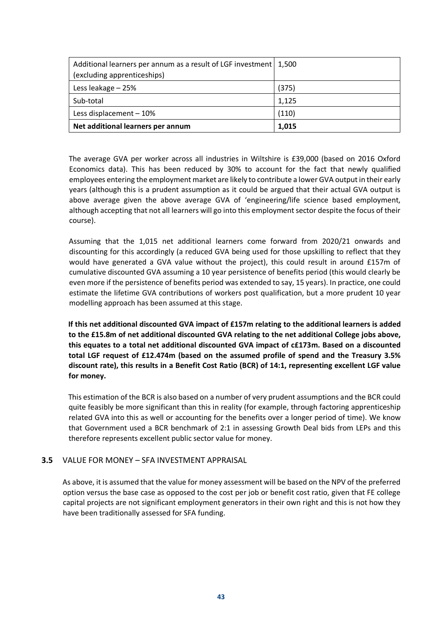| Additional learners per annum as a result of LGF investment   1,500<br>(excluding apprenticeships) |       |
|----------------------------------------------------------------------------------------------------|-------|
| Less leakage - 25%                                                                                 | (375) |
| Sub-total                                                                                          | 1,125 |
| Less displacement - 10%                                                                            | (110) |
| Net additional learners per annum                                                                  | 1,015 |

The average GVA per worker across all industries in Wiltshire is £39,000 (based on 2016 Oxford Economics data). This has been reduced by 30% to account for the fact that newly qualified employees entering the employment market are likely to contribute a lower GVA output in their early years (although this is a prudent assumption as it could be argued that their actual GVA output is above average given the above average GVA of 'engineering/life science based employment, although accepting that not all learners will go into this employment sector despite the focus of their course).

Assuming that the 1,015 net additional learners come forward from 2020/21 onwards and discounting for this accordingly (a reduced GVA being used for those upskilling to reflect that they would have generated a GVA value without the project), this could result in around £157m of cumulative discounted GVA assuming a 10 year persistence of benefits period (this would clearly be even more if the persistence of benefits period was extended to say, 15 years). In practice, one could estimate the lifetime GVA contributions of workers post qualification, but a more prudent 10 year modelling approach has been assumed at this stage.

**If this net additional discounted GVA impact of £157m relating to the additional learners is added to the £15.8m of net additional discounted GVA relating to the net additional College jobs above, this equates to a total net additional discounted GVA impact of c£173m. Based on a discounted total LGF request of £12.474m (based on the assumed profile of spend and the Treasury 3.5% discount rate), this results in a Benefit Cost Ratio (BCR) of 14:1, representing excellent LGF value for money.** 

This estimation of the BCR is also based on a number of very prudent assumptions and the BCR could quite feasibly be more significant than this in reality (for example, through factoring apprenticeship related GVA into this as well or accounting for the benefits over a longer period of time). We know that Government used a BCR benchmark of 2:1 in assessing Growth Deal bids from LEPs and this therefore represents excellent public sector value for money.

## **3.5** VALUE FOR MONEY – SFA INVESTMENT APPRAISAL

As above, it is assumed that the value for money assessment will be based on the NPV of the preferred option versus the base case as opposed to the cost per job or benefit cost ratio, given that FE college capital projects are not significant employment generators in their own right and this is not how they have been traditionally assessed for SFA funding.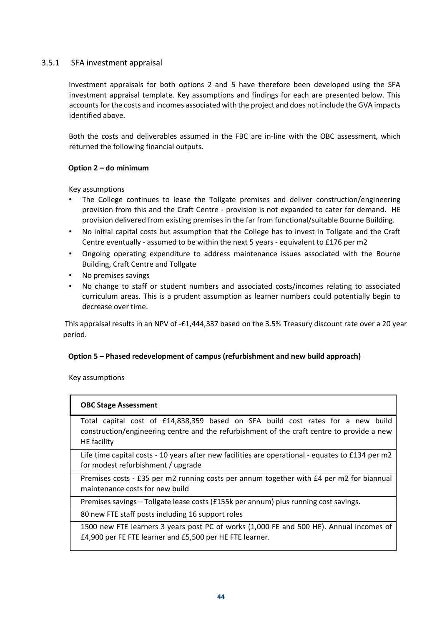## 3.5.1 SFA investment appraisal

Investment appraisals for both options 2 and 5 have therefore been developed using the SFA investment appraisal template. Key assumptions and findings for each are presented below. This accounts for the costs and incomes associated with the project and does not include the GVA impacts identified above.

Both the costs and deliverables assumed in the FBC are in-line with the OBC assessment, which returned the following financial outputs.

## **Option 2 – do minimum**

Key assumptions

- The College continues to lease the Tollgate premises and deliver construction/engineering provision from this and the Craft Centre - provision is not expanded to cater for demand. HE provision delivered from existing premises in the far from functional/suitable Bourne Building.
- No initial capital costs but assumption that the College has to invest in Tollgate and the Craft Centre eventually - assumed to be within the next 5 years - equivalent to £176 per m2
- Ongoing operating expenditure to address maintenance issues associated with the Bourne Building, Craft Centre and Tollgate
- No premises savings
- No change to staff or student numbers and associated costs/incomes relating to associated curriculum areas. This is a prudent assumption as learner numbers could potentially begin to decrease over time.

This appraisal results in an NPV of -£1,444,337 based on the 3.5% Treasury discount rate over a 20 year period.

## **Option 5 – Phased redevelopment of campus (refurbishment and new build approach)**

Key assumptions

## **OBC Stage Assessment**

Total capital cost of £14,838,359 based on SFA build cost rates for a new build construction/engineering centre and the refurbishment of the craft centre to provide a new HE facility

Life time capital costs - 10 years after new facilities are operational - equates to £134 per m2 for modest refurbishment / upgrade

Premises costs - £35 per m2 running costs per annum together with £4 per m2 for biannual maintenance costs for new build

Premises savings – Tollgate lease costs (£155k per annum) plus running cost savings.

80 new FTE staff posts including 16 support roles

1500 new FTE learners 3 years post PC of works (1,000 FE and 500 HE). Annual incomes of £4,900 per FE FTE learner and £5,500 per HE FTE learner.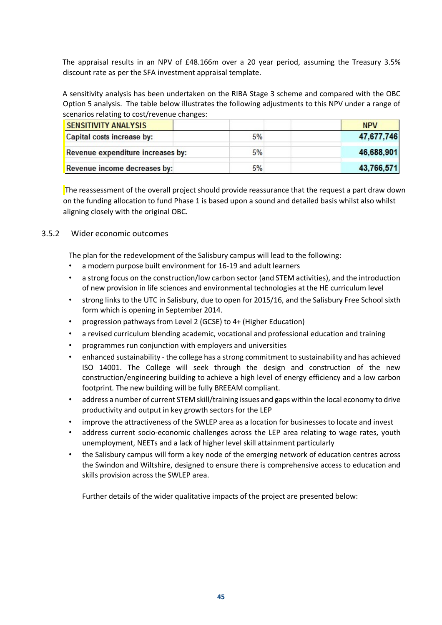The appraisal results in an NPV of £48.166m over a 20 year period, assuming the Treasury 3.5% discount rate as per the SFA investment appraisal template.

A sensitivity analysis has been undertaken on the RIBA Stage 3 scheme and compared with the OBC Option 5 analysis. The table below illustrates the following adjustments to this NPV under a range of scenarios relating to cost/revenue changes:

| <b>SENSITIVITY ANALYSIS</b>       |    | <b>NPV</b> |
|-----------------------------------|----|------------|
| Capital costs increase by:        | 5% | 47,677,746 |
| Revenue expenditure increases by: | 5% | 46,688,901 |
| Revenue income decreases by:      | 5% | 43,766,571 |

The reassessment of the overall project should provide reassurance that the request a part draw down on the funding allocation to fund Phase 1 is based upon a sound and detailed basis whilst also whilst aligning closely with the original OBC.

## 3.5.2 Wider economic outcomes

The plan for the redevelopment of the Salisbury campus will lead to the following:

- a modern purpose built environment for 16-19 and adult learners
- a strong focus on the construction/low carbon sector (and STEM activities), and the introduction of new provision in life sciences and environmental technologies at the HE curriculum level
- strong links to the UTC in Salisbury, due to open for 2015/16, and the Salisbury Free School sixth form which is opening in September 2014.
- progression pathways from Level 2 (GCSE) to 4+ (Higher Education)
- a revised curriculum blending academic, vocational and professional education and training
- programmes run conjunction with employers and universities
- enhanced sustainability the college has a strong commitment to sustainability and has achieved ISO 14001. The College will seek through the design and construction of the new construction/engineering building to achieve a high level of energy efficiency and a low carbon footprint. The new building will be fully BREEAM compliant.
- address a number of current STEM skill/training issues and gaps within the local economy to drive productivity and output in key growth sectors for the LEP
- improve the attractiveness of the SWLEP area as a location for businesses to locate and invest
- address current socio-economic challenges across the LEP area relating to wage rates, youth unemployment, NEETs and a lack of higher level skill attainment particularly
- the Salisbury campus will form a key node of the emerging network of education centres across the Swindon and Wiltshire, designed to ensure there is comprehensive access to education and skills provision across the SWLEP area.

Further details of the wider qualitative impacts of the project are presented below: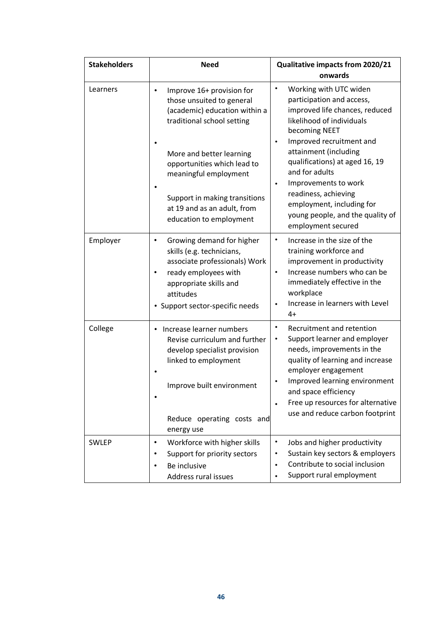| <b>Stakeholders</b> | <b>Need</b>                                                                                                                                                                                         | Qualitative impacts from 2020/21<br>onwards                                                                                                                                                                                                                                                           |  |
|---------------------|-----------------------------------------------------------------------------------------------------------------------------------------------------------------------------------------------------|-------------------------------------------------------------------------------------------------------------------------------------------------------------------------------------------------------------------------------------------------------------------------------------------------------|--|
| Learners            | Improve 16+ provision for<br>٠<br>those unsuited to general<br>(academic) education within a<br>traditional school setting<br>More and better learning                                              | Working with UTC widen<br>$\bullet$<br>participation and access,<br>improved life chances, reduced<br>likelihood of individuals<br>becoming NEET<br>Improved recruitment and<br>attainment (including                                                                                                 |  |
|                     | opportunities which lead to<br>meaningful employment                                                                                                                                                | qualifications) at aged 16, 19<br>and for adults<br>Improvements to work<br>$\bullet$                                                                                                                                                                                                                 |  |
|                     | Support in making transitions<br>at 19 and as an adult, from<br>education to employment                                                                                                             | readiness, achieving<br>employment, including for<br>young people, and the quality of<br>employment secured                                                                                                                                                                                           |  |
| Employer            | Growing demand for higher<br>٠<br>skills (e.g. technicians,<br>associate professionals) Work<br>ready employees with<br>٠<br>appropriate skills and<br>attitudes<br>• Support sector-specific needs | Increase in the size of the<br>$\bullet$<br>training workforce and<br>improvement in productivity<br>Increase numbers who can be<br>$\bullet$<br>immediately effective in the<br>workplace<br>Increase in learners with Level<br>$4+$                                                                 |  |
| College             | Increase learner numbers<br>Revise curriculum and further<br>develop specialist provision<br>linked to employment<br>Improve built environment                                                      | Recruitment and retention<br>٠<br>Support learner and employer<br>$\bullet$<br>needs, improvements in the<br>quality of learning and increase<br>employer engagement<br>Improved learning environment<br>and space efficiency<br>Free up resources for alternative<br>use and reduce carbon footprint |  |
|                     | Reduce operating costs and<br>energy use                                                                                                                                                            |                                                                                                                                                                                                                                                                                                       |  |
| SWLEP               | Workforce with higher skills<br>٠<br>Support for priority sectors<br>٠<br>Be inclusive<br>$\bullet$<br>Address rural issues                                                                         | $\bullet$<br>Jobs and higher productivity<br>Sustain key sectors & employers<br>Contribute to social inclusion<br>$\bullet$<br>Support rural employment                                                                                                                                               |  |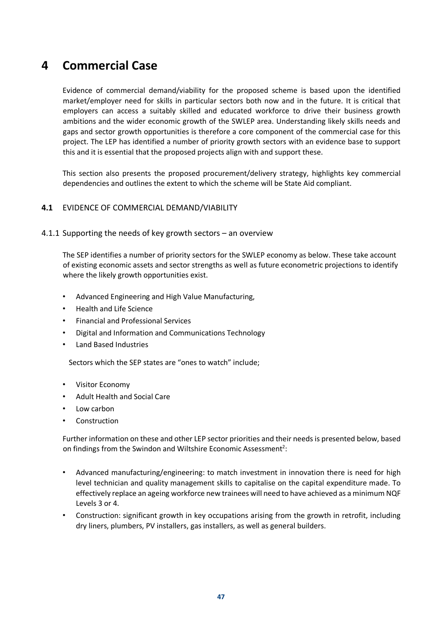## **4 Commercial Case**

Evidence of commercial demand/viability for the proposed scheme is based upon the identified market/employer need for skills in particular sectors both now and in the future. It is critical that employers can access a suitably skilled and educated workforce to drive their business growth ambitions and the wider economic growth of the SWLEP area. Understanding likely skills needs and gaps and sector growth opportunities is therefore a core component of the commercial case for this project. The LEP has identified a number of priority growth sectors with an evidence base to support this and it is essential that the proposed projects align with and support these.

This section also presents the proposed procurement/delivery strategy, highlights key commercial dependencies and outlines the extent to which the scheme will be State Aid compliant.

## **4.1** EVIDENCE OF COMMERCIAL DEMAND/VIABILITY

#### 4.1.1 Supporting the needs of key growth sectors – an overview

The SEP identifies a number of priority sectors for the SWLEP economy as below. These take account of existing economic assets and sector strengths as well as future econometric projections to identify where the likely growth opportunities exist.

- Advanced Engineering and High Value Manufacturing,
- Health and Life Science
- Financial and Professional Services
- Digital and Information and Communications Technology
- Land Based Industries

Sectors which the SEP states are "ones to watch" include;

- Visitor Economy
- Adult Health and Social Care
- Low carbon
- **Construction**

Further information on these and other LEP sector priorities and their needs is presented below, based on findings from the Swindon and Wiltshire Economic Assessment<sup>2</sup>:

- Advanced manufacturing/engineering: to match investment in innovation there is need for high level technician and quality management skills to capitalise on the capital expenditure made. To effectively replace an ageing workforce new trainees will need to have achieved as a minimum NQF Levels 3 or 4.
- Construction: significant growth in key occupations arising from the growth in retrofit, including dry liners, plumbers, PV installers, gas installers, as well as general builders.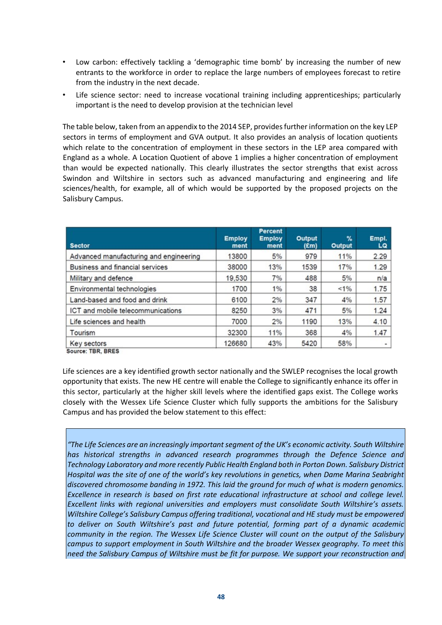- Low carbon: effectively tackling a 'demographic time bomb' by increasing the number of new entrants to the workforce in order to replace the large numbers of employees forecast to retire from the industry in the next decade.
- Life science sector: need to increase vocational training including apprenticeships; particularly important is the need to develop provision at the technician level

The table below, taken from an appendix to the 2014 SEP, provides further information on the key LEP sectors in terms of employment and GVA output. It also provides an analysis of location quotients which relate to the concentration of employment in these sectors in the LEP area compared with England as a whole. A Location Quotient of above 1 implies a higher concentration of employment than would be expected nationally. This clearly illustrates the sector strengths that exist across Swindon and Wiltshire in sectors such as advanced manufacturing and engineering and life sciences/health, for example, all of which would be supported by the proposed projects on the Salisbury Campus.

| <b>Sector</b>                          | <b>Employ</b><br>ment | Percent<br><b>Employ</b><br>ment | Output<br>(£m) | %<br><b>Output</b> | Empl.<br>LQ |
|----------------------------------------|-----------------------|----------------------------------|----------------|--------------------|-------------|
| Advanced manufacturing and engineering | 13800                 | 5%                               | 979            | 11%                | 2.29        |
| Business and financial services        | 38000                 | 13%                              | 1539           | 17%                | 1.29        |
| Military and defence                   | 19,530                | 7%                               | 488            | 5%                 | n/a         |
| Environmental technologies             | 1700                  | 1%                               | 38             | $1\%$              | 1.75        |
| Land-based and food and drink          | 6100                  | 2%                               | 347            | 4%                 | 1.57        |
| ICT and mobile telecommunications      | 8250                  | 3%                               | 471            | 5%                 | 1.24        |
| Life sciences and health               | 7000                  | 2%                               | 1190           | 13%                | 4.10        |
| Tourism                                | 32300                 | 11%                              | 368            | 4%                 | 1.47        |
| Key sectors<br>TOO OOFA                | 126680                | 43%                              | 5420           | 58%                |             |

Source: TBR, BRES

Life sciences are a key identified growth sector nationally and the SWLEP recognises the local growth opportunity that exists. The new HE centre will enable the College to significantly enhance its offer in this sector, particularly at the higher skill levels where the identified gaps exist. The College works closely with the Wessex Life Science Cluster which fully supports the ambitions for the Salisbury Campus and has provided the below statement to this effect:

*"The Life Sciences are an increasingly important segment of the UK's economic activity. South Wiltshire has historical strengths in advanced research programmes through the Defence Science and Technology Laboratory and more recently Public Health England both in Porton Down. Salisbury District Hospital was the site of one of the world's key revolutions in genetics, when Dame Marina Seabright discovered chromosome banding in 1972. This laid the ground for much of what is modern genomics. Excellence in research is based on first rate educational infrastructure at school and college level. Excellent links with regional universities and employers must consolidate South Wiltshire's assets. Wiltshire College's Salisbury Campus offering traditional, vocational and HE study must be empowered to deliver on South Wiltshire's past and future potential, forming part of a dynamic academic community in the region. The Wessex Life Science Cluster will count on the output of the Salisbury campus to support employment in South Wiltshire and the broader Wessex geography. To meet this need the Salisbury Campus of Wiltshire must be fit for purpose. We support your reconstruction and*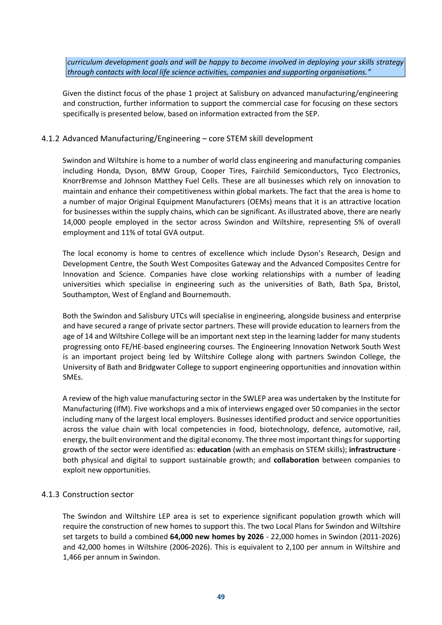*curriculum development goals and will be happy to become involved in deploying your skills strategy through contacts with local life science activities, companies and supporting organisations."* 

Given the distinct focus of the phase 1 project at Salisbury on advanced manufacturing/engineering and construction, further information to support the commercial case for focusing on these sectors specifically is presented below, based on information extracted from the SEP.

### 4.1.2 Advanced Manufacturing/Engineering – core STEM skill development

Swindon and Wiltshire is home to a number of world class engineering and manufacturing companies including Honda, Dyson, BMW Group, Cooper Tires, Fairchild Semiconductors, Tyco Electronics, KnorrBremse and Johnson Matthey Fuel Cells. These are all businesses which rely on innovation to maintain and enhance their competitiveness within global markets. The fact that the area is home to a number of major Original Equipment Manufacturers (OEMs) means that it is an attractive location for businesses within the supply chains, which can be significant. As illustrated above, there are nearly 14,000 people employed in the sector across Swindon and Wiltshire, representing 5% of overall employment and 11% of total GVA output.

The local economy is home to centres of excellence which include Dyson's Research, Design and Development Centre, the South West Composites Gateway and the Advanced Composites Centre for Innovation and Science. Companies have close working relationships with a number of leading universities which specialise in engineering such as the universities of Bath, Bath Spa, Bristol, Southampton, West of England and Bournemouth.

Both the Swindon and Salisbury UTCs will specialise in engineering, alongside business and enterprise and have secured a range of private sector partners. These will provide education to learners from the age of 14 and Wiltshire College will be an important next step in the learning ladder for many students progressing onto FE/HE-based engineering courses. The Engineering Innovation Network South West is an important project being led by Wiltshire College along with partners Swindon College, the University of Bath and Bridgwater College to support engineering opportunities and innovation within SMEs.

A review of the high value manufacturing sector in the SWLEP area was undertaken by the Institute for Manufacturing (IfM). Five workshops and a mix of interviews engaged over 50 companies in the sector including many of the largest local employers. Businesses identified product and service opportunities across the value chain with local competencies in food, biotechnology, defence, automotive, rail, energy, the built environment and the digital economy. The three most important things for supporting growth of the sector were identified as: **education** (with an emphasis on STEM skills); **infrastructure**  both physical and digital to support sustainable growth; and **collaboration** between companies to exploit new opportunities.

#### 4.1.3 Construction sector

The Swindon and Wiltshire LEP area is set to experience significant population growth which will require the construction of new homes to support this. The two Local Plans for Swindon and Wiltshire set targets to build a combined **64,000 new homes by 2026** - 22,000 homes in Swindon (2011-2026) and 42,000 homes in Wiltshire (2006-2026). This is equivalent to 2,100 per annum in Wiltshire and 1,466 per annum in Swindon.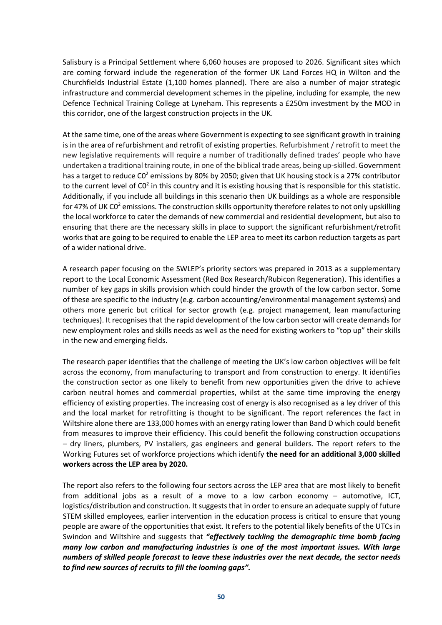Salisbury is a Principal Settlement where 6,060 houses are proposed to 2026. Significant sites which are coming forward include the regeneration of the former UK Land Forces HQ in Wilton and the Churchfields Industrial Estate (1,100 homes planned). There are also a number of major strategic infrastructure and commercial development schemes in the pipeline, including for example, the new Defence Technical Training College at Lyneham. This represents a £250m investment by the MOD in this corridor, one of the largest construction projects in the UK.

At the same time, one of the areas where Government is expecting to see significant growth in training is in the area of refurbishment and retrofit of existing properties. Refurbishment / retrofit to meet the new legislative requirements will require a number of traditionally defined trades' people who have undertaken a traditional training route, in one of the biblical trade areas, being up-skilled. Government has a target to reduce C0<sup>2</sup> emissions by 80% by 2050; given that UK housing stock is a 27% contributor to the current level of  $CO<sup>2</sup>$  in this country and it is existing housing that is responsible for this statistic. Additionally, if you include all buildings in this scenario then UK buildings as a whole are responsible for 47% of UK C0<sup>2</sup> emissions. The construction skills opportunity therefore relates to not only upskilling the local workforce to cater the demands of new commercial and residential development, but also to ensuring that there are the necessary skills in place to support the significant refurbishment/retrofit works that are going to be required to enable the LEP area to meet its carbon reduction targets as part of a wider national drive.

A research paper focusing on the SWLEP's priority sectors was prepared in 2013 as a supplementary report to the Local Economic Assessment (Red Box Research/Rubicon Regeneration). This identifies a number of key gaps in skills provision which could hinder the growth of the low carbon sector. Some of these are specific to the industry (e.g. carbon accounting/environmental management systems) and others more generic but critical for sector growth (e.g. project management, lean manufacturing techniques). It recognises that the rapid development of the low carbon sector will create demands for new employment roles and skills needs as well as the need for existing workers to "top up" their skills in the new and emerging fields.

The research paper identifies that the challenge of meeting the UK's low carbon objectives will be felt across the economy, from manufacturing to transport and from construction to energy. It identifies the construction sector as one likely to benefit from new opportunities given the drive to achieve carbon neutral homes and commercial properties, whilst at the same time improving the energy efficiency of existing properties. The increasing cost of energy is also recognised as a ley driver of this and the local market for retrofitting is thought to be significant. The report references the fact in Wiltshire alone there are 133,000 homes with an energy rating lower than Band D which could benefit from measures to improve their efficiency. This could benefit the following construction occupations – dry liners, plumbers, PV installers, gas engineers and general builders. The report refers to the Working Futures set of workforce projections which identify **the need for an additional 3,000 skilled workers across the LEP area by 2020.** 

The report also refers to the following four sectors across the LEP area that are most likely to benefit from additional jobs as a result of a move to a low carbon economy – automotive, ICT, logistics/distribution and construction. It suggests that in order to ensure an adequate supply of future STEM skilled employees, earlier intervention in the education process is critical to ensure that young people are aware of the opportunities that exist. It refers to the potential likely benefits of the UTCs in Swindon and Wiltshire and suggests that *"effectively tackling the demographic time bomb facing many low carbon and manufacturing industries is one of the most important issues. With large numbers of skilled people forecast to leave these industries over the next decade, the sector needs to find new sources of recruits to fill the looming gaps".*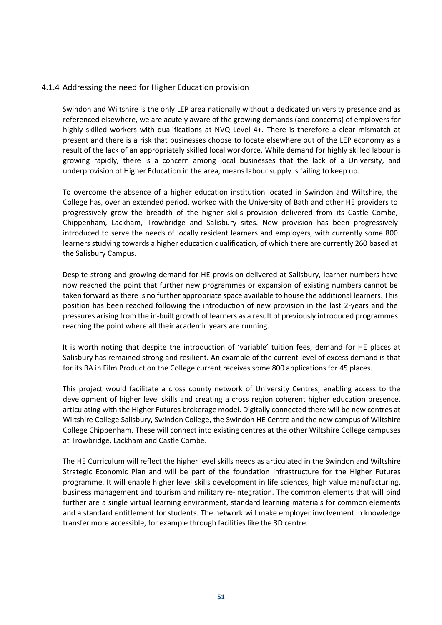## 4.1.4 Addressing the need for Higher Education provision

Swindon and Wiltshire is the only LEP area nationally without a dedicated university presence and as referenced elsewhere, we are acutely aware of the growing demands (and concerns) of employers for highly skilled workers with qualifications at NVQ Level 4+. There is therefore a clear mismatch at present and there is a risk that businesses choose to locate elsewhere out of the LEP economy as a result of the lack of an appropriately skilled local workforce. While demand for highly skilled labour is growing rapidly, there is a concern among local businesses that the lack of a University, and underprovision of Higher Education in the area, means labour supply is failing to keep up.

To overcome the absence of a higher education institution located in Swindon and Wiltshire, the College has, over an extended period, worked with the University of Bath and other HE providers to progressively grow the breadth of the higher skills provision delivered from its Castle Combe, Chippenham, Lackham, Trowbridge and Salisbury sites. New provision has been progressively introduced to serve the needs of locally resident learners and employers, with currently some 800 learners studying towards a higher education qualification, of which there are currently 260 based at the Salisbury Campus.

Despite strong and growing demand for HE provision delivered at Salisbury, learner numbers have now reached the point that further new programmes or expansion of existing numbers cannot be taken forward as there is no further appropriate space available to house the additional learners. This position has been reached following the introduction of new provision in the last 2-years and the pressures arising from the in-built growth of learners as a result of previously introduced programmes reaching the point where all their academic years are running.

It is worth noting that despite the introduction of 'variable' tuition fees, demand for HE places at Salisbury has remained strong and resilient. An example of the current level of excess demand is that for its BA in Film Production the College current receives some 800 applications for 45 places.

This project would facilitate a cross county network of University Centres, enabling access to the development of higher level skills and creating a cross region coherent higher education presence, articulating with the Higher Futures brokerage model. Digitally connected there will be new centres at Wiltshire College Salisbury, Swindon College, the Swindon HE Centre and the new campus of Wiltshire College Chippenham. These will connect into existing centres at the other Wiltshire College campuses at Trowbridge, Lackham and Castle Combe.

The HE Curriculum will reflect the higher level skills needs as articulated in the Swindon and Wiltshire Strategic Economic Plan and will be part of the foundation infrastructure for the Higher Futures programme. It will enable higher level skills development in life sciences, high value manufacturing, business management and tourism and military re-integration. The common elements that will bind further are a single virtual learning environment, standard learning materials for common elements and a standard entitlement for students. The network will make employer involvement in knowledge transfer more accessible, for example through facilities like the 3D centre.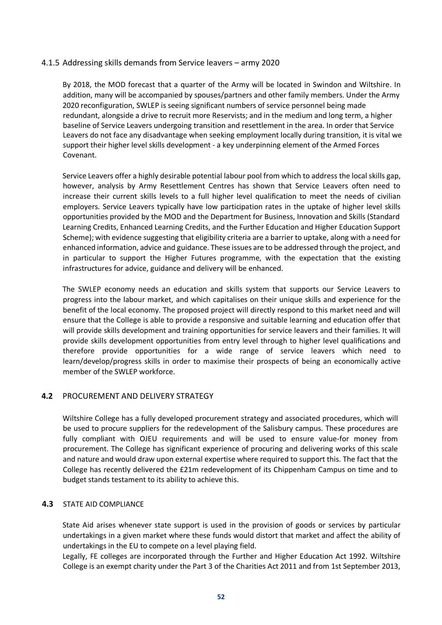## 4.1.5 Addressing skills demands from Service leavers – army 2020

By 2018, the MOD forecast that a quarter of the Army will be located in Swindon and Wiltshire. In addition, many will be accompanied by spouses/partners and other family members. Under the Army 2020 reconfiguration, SWLEP is seeing significant numbers of service personnel being made redundant, alongside a drive to recruit more Reservists; and in the medium and long term, a higher baseline of Service Leavers undergoing transition and resettlement in the area. In order that Service Leavers do not face any disadvantage when seeking employment locally during transition, it is vital we support their higher level skills development - a key underpinning element of the Armed Forces Covenant.

Service Leavers offer a highly desirable potential labour pool from which to address the local skills gap, however, analysis by Army Resettlement Centres has shown that Service Leavers often need to increase their current skills levels to a full higher level qualification to meet the needs of civilian employers. Service Leavers typically have low participation rates in the uptake of higher level skills opportunities provided by the MOD and the Department for Business, Innovation and Skills (Standard Learning Credits, Enhanced Learning Credits, and the Further Education and Higher Education Support Scheme); with evidence suggesting that eligibility criteria are a barrier to uptake, along with a need for enhanced information, advice and guidance. These issues are to be addressed through the project, and in particular to support the Higher Futures programme, with the expectation that the existing infrastructures for advice, guidance and delivery will be enhanced.

The SWLEP economy needs an education and skills system that supports our Service Leavers to progress into the labour market, and which capitalises on their unique skills and experience for the benefit of the local economy. The proposed project will directly respond to this market need and will ensure that the College is able to provide a responsive and suitable learning and education offer that will provide skills development and training opportunities for service leavers and their families. It will provide skills development opportunities from entry level through to higher level qualifications and therefore provide opportunities for a wide range of service leavers which need to learn/develop/progress skills in order to maximise their prospects of being an economically active member of the SWLEP workforce.

## **4.2** PROCUREMENT AND DELIVERY STRATEGY

Wiltshire College has a fully developed procurement strategy and associated procedures, which will be used to procure suppliers for the redevelopment of the Salisbury campus. These procedures are fully compliant with OJEU requirements and will be used to ensure value-for money from procurement. The College has significant experience of procuring and delivering works of this scale and nature and would draw upon external expertise where required to support this. The fact that the College has recently delivered the £21m redevelopment of its Chippenham Campus on time and to budget stands testament to its ability to achieve this.

#### **4.3** STATE AID COMPLIANCE

State Aid arises whenever state support is used in the provision of goods or services by particular undertakings in a given market where these funds would distort that market and affect the ability of undertakings in the EU to compete on a level playing field.

Legally, FE colleges are incorporated through the Further and Higher Education Act 1992. Wiltshire College is an exempt charity under the Part 3 of the Charities Act 2011 and from 1st September 2013,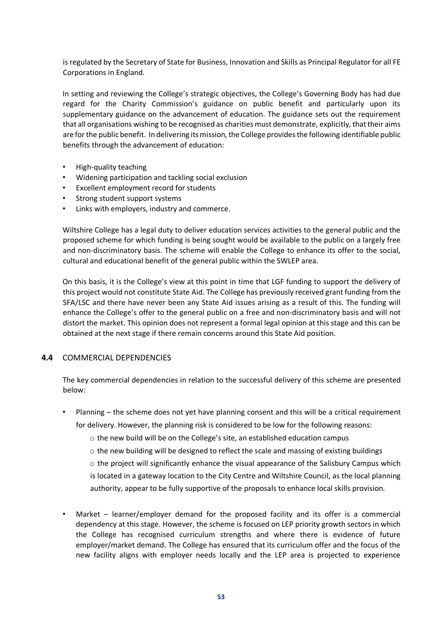is regulated by the Secretary of State for Business, Innovation and Skills as Principal Regulator for all FE Corporations in England.

In setting and reviewing the College's strategic objectives, the College's Governing Body has had due regard for the Charity Commission's guidance on public benefit and particularly upon its supplementary guidance on the advancement of education. The guidance sets out the requirement that all organisations wishing to be recognised as charities must demonstrate, explicitly, that their aims are for the public benefit. In delivering its mission, the College provides the following identifiable public benefits through the advancement of education:

- High-quality teaching
- Widening participation and tackling social exclusion
- Excellent employment record for students
- Strong student support systems
- Links with employers, industry and commerce.

Wiltshire College has a legal duty to deliver education services activities to the general public and the proposed scheme for which funding is being sought would be available to the public on a largely free and non-discriminatory basis. The scheme will enable the College to enhance its offer to the social, cultural and educational benefit of the general public within the SWLEP area.

On this basis, it is the College's view at this point in time that LGF funding to support the delivery of this project would not constitute State Aid. The College has previously received grant funding from the SFA/LSC and there have never been any State Aid issues arising as a result of this. The funding will enhance the College's offer to the general public on a free and non-discriminatory basis and will not distort the market. This opinion does not represent a formal legal opinion at this stage and this can be obtained at the next stage if there remain concerns around this State Aid position.

## **4.4** COMMERCIAL DEPENDENCIES

The key commercial dependencies in relation to the successful delivery of this scheme are presented below:

- Planning the scheme does not yet have planning consent and this will be a critical requirement for delivery. However, the planning risk is considered to be low for the following reasons:
	- o the new build will be on the College's site, an established education campus
	- $\circ$  the new building will be designed to reflect the scale and massing of existing buildings
	- $\circ$  the project will significantly enhance the visual appearance of the Salisbury Campus which
	- is located in a gateway location to the City Centre and Wiltshire Council, as the local planning authority, appear to be fully supportive of the proposals to enhance local skills provision.
- Market learner/employer demand for the proposed facility and its offer is a commercial dependency at this stage. However, the scheme is focused on LEP priority growth sectors in which the College has recognised curriculum strengths and where there is evidence of future employer/market demand. The College has ensured that its curriculum offer and the focus of the new facility aligns with employer needs locally and the LEP area is projected to experience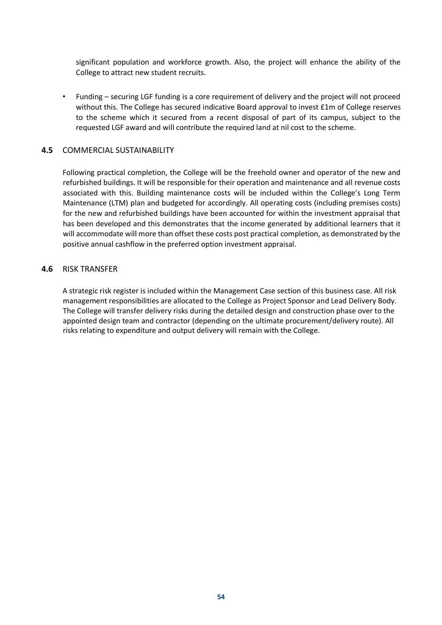significant population and workforce growth. Also, the project will enhance the ability of the College to attract new student recruits.

• Funding – securing LGF funding is a core requirement of delivery and the project will not proceed without this. The College has secured indicative Board approval to invest £1m of College reserves to the scheme which it secured from a recent disposal of part of its campus, subject to the requested LGF award and will contribute the required land at nil cost to the scheme.

## **4.5** COMMERCIAL SUSTAINABILITY

Following practical completion, the College will be the freehold owner and operator of the new and refurbished buildings. It will be responsible for their operation and maintenance and all revenue costs associated with this. Building maintenance costs will be included within the College's Long Term Maintenance (LTM) plan and budgeted for accordingly. All operating costs (including premises costs) for the new and refurbished buildings have been accounted for within the investment appraisal that has been developed and this demonstrates that the income generated by additional learners that it will accommodate will more than offset these costs post practical completion, as demonstrated by the positive annual cashflow in the preferred option investment appraisal.

## **4.6** RISK TRANSFER

A strategic risk register is included within the Management Case section of this business case. All risk management responsibilities are allocated to the College as Project Sponsor and Lead Delivery Body. The College will transfer delivery risks during the detailed design and construction phase over to the appointed design team and contractor (depending on the ultimate procurement/delivery route). All risks relating to expenditure and output delivery will remain with the College.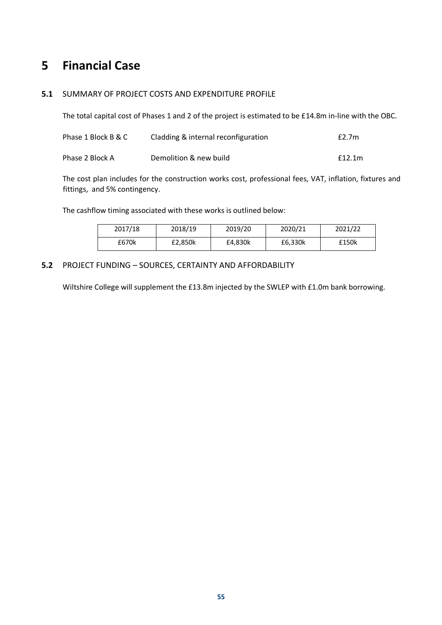## **5 Financial Case**

## **5.1** SUMMARY OF PROJECT COSTS AND EXPENDITURE PROFILE

The total capital cost of Phases 1 and 2 of the project is estimated to be £14.8m in-line with the OBC.

| Phase 1 Block B & C | Cladding & internal reconfiguration | f2.7m  |
|---------------------|-------------------------------------|--------|
| Phase 2 Block A     | Demolition & new build              | f12.1m |

The cost plan includes for the construction works cost, professional fees, VAT, inflation, fixtures and fittings, and 5% contingency.

The cashflow timing associated with these works is outlined below:

| 2017/18 | 2018/19 | 2019/20 | 2020/21 | 2021/22 |
|---------|---------|---------|---------|---------|
| £670k   | £2.850k | £4.830k | £6,330k | £150k   |

## **5.2** PROJECT FUNDING – SOURCES, CERTAINTY AND AFFORDABILITY

Wiltshire College will supplement the £13.8m injected by the SWLEP with £1.0m bank borrowing.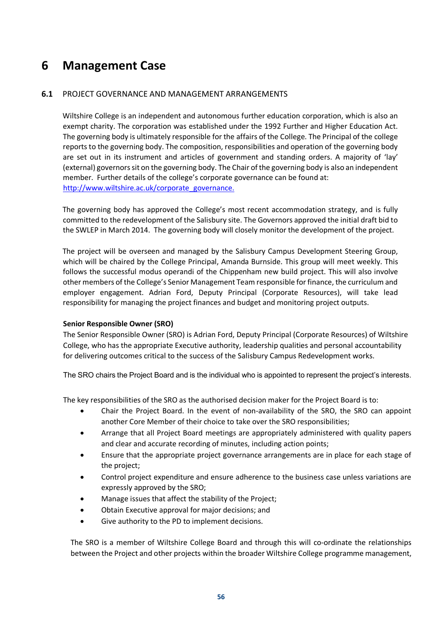## **6 Management Case**

## **6.1** PROJECT GOVERNANCE AND MANAGEMENT ARRANGEMENTS

Wiltshire College is an independent and autonomous further education corporation, which is also an exempt charity. The corporation was established under the 1992 Further and Higher Education Act. The governing body is ultimately responsible for the affairs of the College. The Principal of the college reports to the governing body. The composition, responsibilities and operation of the governing body are set out in its instrument and articles of government and standing orders. A majority of 'lay' (external) governors sit on the governing body. The Chair of the governing body is also an independent member. Further details of the college's corporate governance can be found at: http://www.wiltshire.ac.uk/corporate\_governance.

The governing body has approved the College's most recent accommodation strategy, and is fully committed to the redevelopment of the Salisbury site. The Governors approved the initial draft bid to the SWLEP in March 2014. The governing body will closely monitor the development of the project.

The project will be overseen and managed by the Salisbury Campus Development Steering Group, which will be chaired by the College Principal, Amanda Burnside. This group will meet weekly. This follows the successful modus operandi of the Chippenham new build project. This will also involve other members of the College's Senior Management Team responsible for finance, the curriculum and employer engagement. Adrian Ford, Deputy Principal (Corporate Resources), will take lead responsibility for managing the project finances and budget and monitoring project outputs.

## **Senior Responsible Owner (SRO)**

The Senior Responsible Owner (SRO) is Adrian Ford, Deputy Principal (Corporate Resources) of Wiltshire College, who has the appropriate Executive authority, leadership qualities and personal accountability for delivering outcomes critical to the success of the Salisbury Campus Redevelopment works.

The SRO chairs the Project Board and is the individual who is appointed to represent the project's interests.

The key responsibilities of the SRO as the authorised decision maker for the Project Board is to:

- Chair the Project Board. In the event of non-availability of the SRO, the SRO can appoint another Core Member of their choice to take over the SRO responsibilities;
- Arrange that all Project Board meetings are appropriately administered with quality papers and clear and accurate recording of minutes, including action points;
- Ensure that the appropriate project governance arrangements are in place for each stage of the project;
- Control project expenditure and ensure adherence to the business case unless variations are expressly approved by the SRO;
- Manage issues that affect the stability of the Project;
- Obtain Executive approval for major decisions; and
- Give authority to the PD to implement decisions.

The SRO is a member of Wiltshire College Board and through this will co-ordinate the relationships between the Project and other projects within the broader Wiltshire College programme management,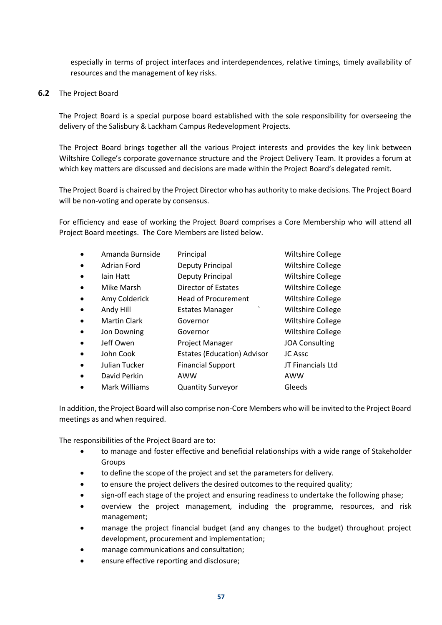especially in terms of project interfaces and interdependences, relative timings, timely availability of resources and the management of key risks.

**6.2** The Project Board

The Project Board is a special purpose board established with the sole responsibility for overseeing the delivery of the Salisbury & Lackham Campus Redevelopment Projects.

The Project Board brings together all the various Project interests and provides the key link between Wiltshire College's corporate governance structure and the Project Delivery Team. It provides a forum at which key matters are discussed and decisions are made within the Project Board's delegated remit.

The Project Board is chaired by the Project Director who has authority to make decisions. The Project Board will be non-voting and operate by consensus.

For efficiency and ease of working the Project Board comprises a Core Membership who will attend all Project Board meetings. The Core Members are listed below.

|           | Amanda Burnside     | Principal                          | <b>Wiltshire College</b> |
|-----------|---------------------|------------------------------------|--------------------------|
| $\bullet$ | Adrian Ford         | Deputy Principal                   | Wiltshire College        |
| $\bullet$ | lain Hatt           | Deputy Principal                   | <b>Wiltshire College</b> |
| $\bullet$ | Mike Marsh          | Director of Estates                | <b>Wiltshire College</b> |
| $\bullet$ | Amy Colderick       | <b>Head of Procurement</b>         | <b>Wiltshire College</b> |
| $\bullet$ | Andy Hill           | $\cdot$<br><b>Estates Manager</b>  | <b>Wiltshire College</b> |
|           | <b>Martin Clark</b> | Governor                           | <b>Wiltshire College</b> |
|           | Jon Downing         | Governor                           | <b>Wiltshire College</b> |
|           | Jeff Owen           | <b>Project Manager</b>             | <b>JOA Consulting</b>    |
|           | John Cook           | <b>Estates (Education) Advisor</b> | JC Assc                  |
|           | Julian Tucker       | <b>Financial Support</b>           | JT Financials Ltd        |
|           | David Perkin        | AWW                                | AWW                      |
|           | Mark Williams       | <b>Quantity Surveyor</b>           | Gleeds                   |

In addition, the Project Board will also comprise non-Core Members who will be invited to the Project Board meetings as and when required.

The responsibilities of the Project Board are to:

- to manage and foster effective and beneficial relationships with a wide range of Stakeholder Groups
- to define the scope of the project and set the parameters for delivery.
- to ensure the project delivers the desired outcomes to the required quality;
- sign-off each stage of the project and ensuring readiness to undertake the following phase;
- overview the project management, including the programme, resources, and risk management;
- manage the project financial budget (and any changes to the budget) throughout project development, procurement and implementation;
- manage communications and consultation;
- ensure effective reporting and disclosure;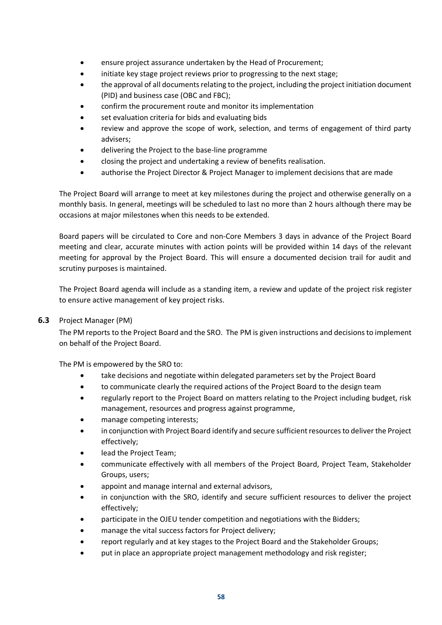- ensure project assurance undertaken by the Head of Procurement;
- initiate key stage project reviews prior to progressing to the next stage;
- the approval of all documents relating to the project, including the project initiation document (PID) and business case (OBC and FBC);
- confirm the procurement route and monitor its implementation
- set evaluation criteria for bids and evaluating bids
- review and approve the scope of work, selection, and terms of engagement of third party advisers;
- delivering the Project to the base-line programme
- closing the project and undertaking a review of benefits realisation.
- authorise the Project Director & Project Manager to implement decisions that are made

The Project Board will arrange to meet at key milestones during the project and otherwise generally on a monthly basis. In general, meetings will be scheduled to last no more than 2 hours although there may be occasions at major milestones when this needs to be extended.

Board papers will be circulated to Core and non-Core Members 3 days in advance of the Project Board meeting and clear, accurate minutes with action points will be provided within 14 days of the relevant meeting for approval by the Project Board. This will ensure a documented decision trail for audit and scrutiny purposes is maintained.

The Project Board agenda will include as a standing item, a review and update of the project risk register to ensure active management of key project risks.

## **6.3** Project Manager (PM)

The PM reports to the Project Board and the SRO. The PM is given instructions and decisions to implement on behalf of the Project Board.

The PM is empowered by the SRO to:

- take decisions and negotiate within delegated parameters set by the Project Board
- to communicate clearly the required actions of the Project Board to the design team
- regularly report to the Project Board on matters relating to the Project including budget, risk management, resources and progress against programme,
- manage competing interests;
- in conjunction with Project Board identify and secure sufficient resources to deliver the Project effectively;
- lead the Project Team;
- communicate effectively with all members of the Project Board, Project Team, Stakeholder Groups, users;
- appoint and manage internal and external advisors,
- in conjunction with the SRO, identify and secure sufficient resources to deliver the project effectively;
- participate in the OJEU tender competition and negotiations with the Bidders;
- manage the vital success factors for Project delivery;
- report regularly and at key stages to the Project Board and the Stakeholder Groups;
- put in place an appropriate project management methodology and risk register;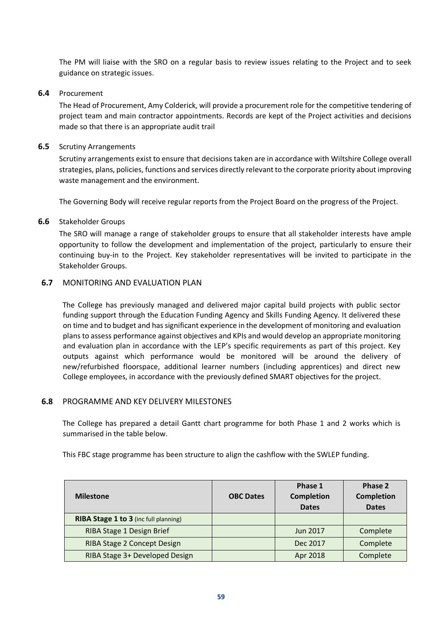The PM will liaise with the SRO on a regular basis to review issues relating to the Project and to seek guidance on strategic issues.

### **6.4** Procurement

The Head of Procurement, Amy Colderick, will provide a procurement role for the competitive tendering of project team and main contractor appointments. Records are kept of the Project activities and decisions made so that there is an appropriate audit trail

## **6.5** Scrutiny Arrangements

Scrutiny arrangements exist to ensure that decisions taken are in accordance with Wiltshire College overall strategies, plans, policies, functions and services directly relevant to the corporate priority about improving waste management and the environment.

The Governing Body will receive regular reports from the Project Board on the progress of the Project.

## **6.6** Stakeholder Groups

The SRO will manage a range of stakeholder groups to ensure that all stakeholder interests have ample opportunity to follow the development and implementation of the project, particularly to ensure their continuing buy-in to the Project. Key stakeholder representatives will be invited to participate in the Stakeholder Groups.

## **6.7** MONITORING AND EVALUATION PLAN

The College has previously managed and delivered major capital build projects with public sector funding support through the Education Funding Agency and Skills Funding Agency. It delivered these on time and to budget and has significant experience in the development of monitoring and evaluation plans to assess performance against objectives and KPIs and would develop an appropriate monitoring and evaluation plan in accordance with the LEP's specific requirements as part of this project. Key outputs against which performance would be monitored will be around the delivery of new/refurbished floorspace, additional learner numbers (including apprentices) and direct new College employees, in accordance with the previously defined SMART objectives for the project.

## **6.8** PROGRAMME AND KEY DELIVERY MILESTONES

The College has prepared a detail Gantt chart programme for both Phase 1 and 2 works which is summarised in the table below.

This FBC stage programme has been structure to align the cashflow with the SWLEP funding.

| <b>Milestone</b>                      | <b>OBC Dates</b> | Phase 1<br><b>Completion</b><br><b>Dates</b> | Phase 2<br><b>Completion</b><br><b>Dates</b> |
|---------------------------------------|------------------|----------------------------------------------|----------------------------------------------|
| RIBA Stage 1 to 3 (inc full planning) |                  |                                              |                                              |
| RIBA Stage 1 Design Brief             |                  | Jun 2017                                     | Complete                                     |
| RIBA Stage 2 Concept Design           |                  | Dec 2017                                     | Complete                                     |
| RIBA Stage 3+ Developed Design        |                  | Apr 2018                                     | Complete                                     |